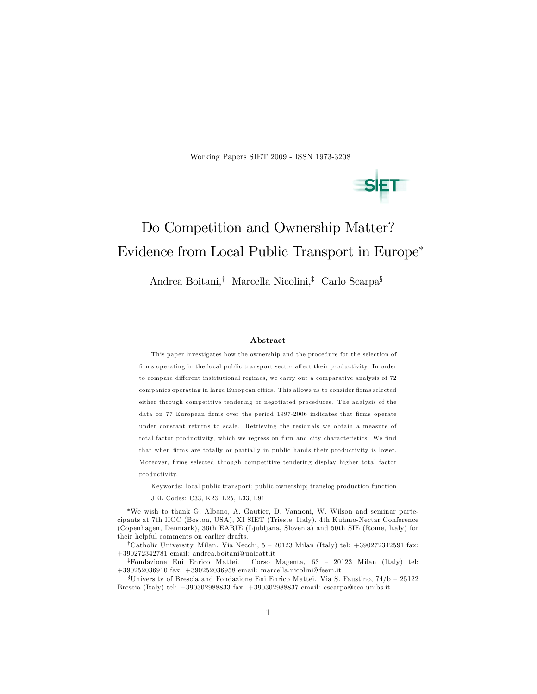Working Papers SIET 2009 - ISSN 1973-3208



# Do Competition and Ownership Matter? Evidence from Local Public Transport in Europe

Andrea Boitani,<sup>†</sup> Marcella Nicolini,<sup>‡</sup> Carlo Scarpa<sup>§</sup>

#### Abstract

This paper investigates how the ownership and the procedure for the selection of firms operating in the local public transport sector affect their productivity. In order to compare different institutional regimes, we carry out a comparative analysis of 72 companies operating in large European cities. This allows us to consider firms selected either through competitive tendering or negotiated procedures. The analysis of the data on 77 European firms over the period 1997-2006 indicates that firms operate under constant returns to scale. Retrieving the residuals we obtain a measure of total factor productivity, which we regress on firm and city characteristics. We find that when firms are totally or partially in public hands their productivity is lower. Moreover, firms selected through competitive tendering display higher total factor productivity.

Keywords: local public transport; public ownership; translog production function JEL Codes: C33, K23, L25, L33, L91

 $\overline{F}$ Fondazione Eni Enrico Mattei. Corso Magenta, 63 – 20123 Milan (Italy) tel: +390252036910 fax: +390252036958 email: marcella.nicolini@feem.it

We wish to thank G. Albano, A. Gautier, D. Vannoni, W. Wilson and seminar partecipants at 7th IIOC (Boston, USA), XI SIET (Trieste, Italy), 4th Kuhmo-Nectar Conference (Copenhagen, Denmark), 36th EARIE (Ljubljana, Slovenia) and 50th SIE (Rome, Italy) for their helpful comments on earlier drafts.

<sup>&</sup>lt;sup>†</sup>Catholic University, Milan. Via Necchi, 5 – 20123 Milan (Italy) tel:  $+390272342591$  fax: +390272342781 email: andrea.boitani@unicatt.it

 $$University of Brescia and Fondazione Eni Enrico Mattei. Via S. Faustino, 74/b - 25122$ Brescia (Italy) tel: +390302988833 fax: +390302988837 email: cscarpa@eco.unibs.it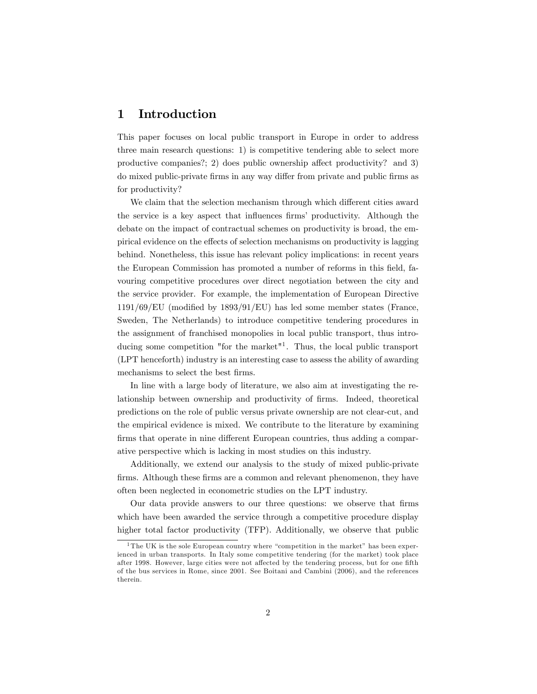# 1 Introduction

This paper focuses on local public transport in Europe in order to address three main research questions: 1) is competitive tendering able to select more productive companies?; 2) does public ownership affect productivity? and 3) do mixed public-private firms in any way differ from private and public firms as for productivity?

We claim that the selection mechanism through which different cities award the service is a key aspect that influences firms' productivity. Although the debate on the impact of contractual schemes on productivity is broad, the empirical evidence on the effects of selection mechanisms on productivity is lagging behind. Nonetheless, this issue has relevant policy implications: in recent years the European Commission has promoted a number of reforms in this field, favouring competitive procedures over direct negotiation between the city and the service provider. For example, the implementation of European Directive  $1191/69$ /EU (modified by  $1893/91$ /EU) has led some member states (France, Sweden, The Netherlands) to introduce competitive tendering procedures in the assignment of franchised monopolies in local public transport, thus introducing some competition "for the market"<sup>1</sup>. Thus, the local public transport (LPT henceforth) industry is an interesting case to assess the ability of awarding mechanisms to select the best firms.

In line with a large body of literature, we also aim at investigating the relationship between ownership and productivity of firms. Indeed, theoretical predictions on the role of public versus private ownership are not clear-cut, and the empirical evidence is mixed. We contribute to the literature by examining firms that operate in nine different European countries, thus adding a comparative perspective which is lacking in most studies on this industry.

Additionally, we extend our analysis to the study of mixed public-private firms. Although these firms are a common and relevant phenomenon, they have often been neglected in econometric studies on the LPT industry.

Our data provide answers to our three questions: we observe that firms which have been awarded the service through a competitive procedure display higher total factor productivity (TFP). Additionally, we observe that public

<sup>&</sup>lt;sup>1</sup> The UK is the sole European country where "competition in the market" has been experienced in urban transports. In Italy some competitive tendering (for the market) took place after 1998. However, large cities were not affected by the tendering process, but for one fifth of the bus services in Rome, since 2001. See Boitani and Cambini (2006), and the references therein.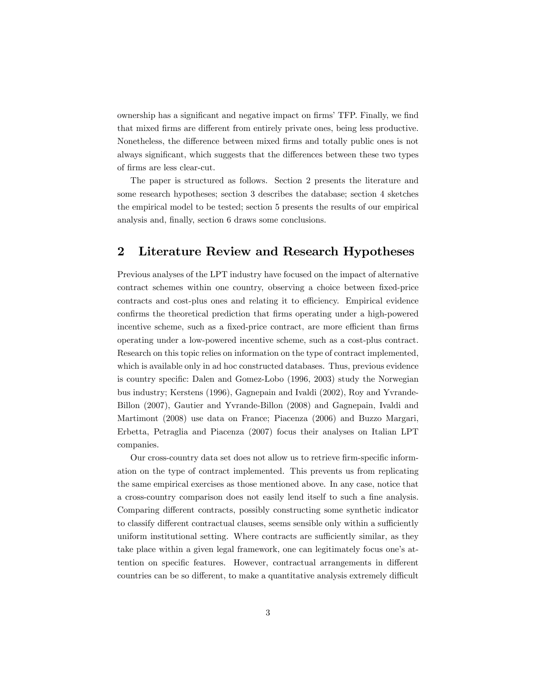ownership has a significant and negative impact on firms' TFP. Finally, we find that mixed firms are different from entirely private ones, being less productive. Nonetheless, the difference between mixed firms and totally public ones is not always significant, which suggests that the differences between these two types of Örms are less clear-cut.

The paper is structured as follows. Section 2 presents the literature and some research hypotheses; section 3 describes the database; section 4 sketches the empirical model to be tested; section 5 presents the results of our empirical analysis and, finally, section 6 draws some conclusions.

# 2 Literature Review and Research Hypotheses

Previous analyses of the LPT industry have focused on the impact of alternative contract schemes within one country, observing a choice between fixed-price contracts and cost-plus ones and relating it to efficiency. Empirical evidence confirms the theoretical prediction that firms operating under a high-powered incentive scheme, such as a fixed-price contract, are more efficient than firms operating under a low-powered incentive scheme, such as a cost-plus contract. Research on this topic relies on information on the type of contract implemented, which is available only in ad hoc constructed databases. Thus, previous evidence is country specific: Dalen and Gomez-Lobo (1996, 2003) study the Norwegian bus industry; Kerstens (1996), Gagnepain and Ivaldi (2002), Roy and Yvrande-Billon (2007), Gautier and Yvrande-Billon (2008) and Gagnepain, Ivaldi and Martimont (2008) use data on France; Piacenza (2006) and Buzzo Margari, Erbetta, Petraglia and Piacenza (2007) focus their analyses on Italian LPT companies.

Our cross-country data set does not allow us to retrieve firm-specific information on the type of contract implemented. This prevents us from replicating the same empirical exercises as those mentioned above. In any case, notice that a cross-country comparison does not easily lend itself to such a fine analysis. Comparing different contracts, possibly constructing some synthetic indicator to classify different contractual clauses, seems sensible only within a sufficiently uniform institutional setting. Where contracts are sufficiently similar, as they take place within a given legal framework, one can legitimately focus one's attention on specific features. However, contractual arrangements in different countries can be so different, to make a quantitative analysis extremely difficult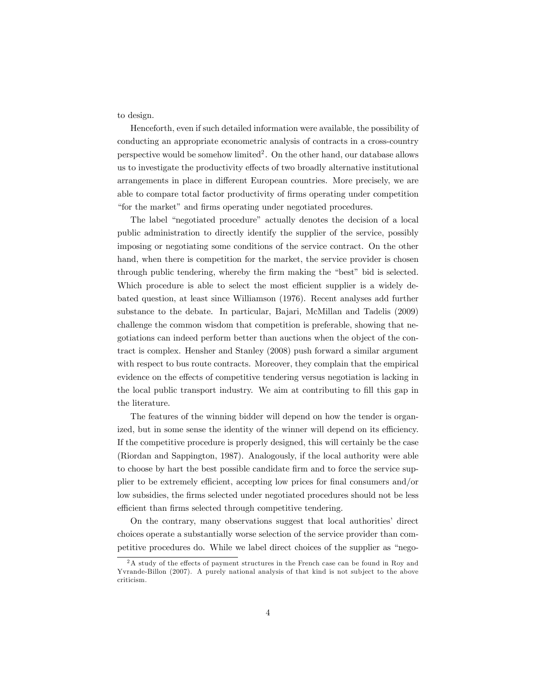to design.

Henceforth, even if such detailed information were available, the possibility of conducting an appropriate econometric analysis of contracts in a cross-country perspective would be somehow  $\text{limited}^2$ . On the other hand, our database allows us to investigate the productivity effects of two broadly alternative institutional arrangements in place in different European countries. More precisely, we are able to compare total factor productivity of firms operating under competition "for the market" and firms operating under negotiated procedures.

The label "negotiated procedure" actually denotes the decision of a local public administration to directly identify the supplier of the service, possibly imposing or negotiating some conditions of the service contract. On the other hand, when there is competition for the market, the service provider is chosen through public tendering, whereby the firm making the "best" bid is selected. Which procedure is able to select the most efficient supplier is a widely debated question, at least since Williamson (1976). Recent analyses add further substance to the debate. In particular, Bajari, McMillan and Tadelis (2009) challenge the common wisdom that competition is preferable, showing that negotiations can indeed perform better than auctions when the object of the contract is complex. Hensher and Stanley (2008) push forward a similar argument with respect to bus route contracts. Moreover, they complain that the empirical evidence on the effects of competitive tendering versus negotiation is lacking in the local public transport industry. We aim at contributing to fill this gap in the literature.

The features of the winning bidder will depend on how the tender is organized, but in some sense the identity of the winner will depend on its efficiency. If the competitive procedure is properly designed, this will certainly be the case (Riordan and Sappington, 1987). Analogously, if the local authority were able to choose by hart the best possible candidate firm and to force the service supplier to be extremely efficient, accepting low prices for final consumers and/or low subsidies, the firms selected under negotiated procedures should not be less efficient than firms selected through competitive tendering.

On the contrary, many observations suggest that local authorities' direct choices operate a substantially worse selection of the service provider than competitive procedures do. While we label direct choices of the supplier as "nego-

 $2A$  study of the effects of payment structures in the French case can be found in Roy and Yvrande-Billon (2007). A purely national analysis of that kind is not sub ject to the above criticism.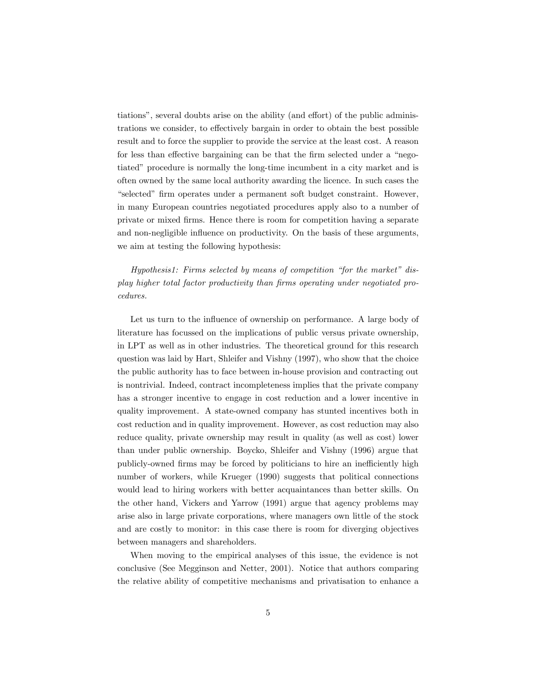tiations", several doubts arise on the ability (and effort) of the public administrations we consider, to effectively bargain in order to obtain the best possible result and to force the supplier to provide the service at the least cost. A reason for less than effective bargaining can be that the firm selected under a "negotiated" procedure is normally the long-time incumbent in a city market and is often owned by the same local authority awarding the licence. In such cases the ìselectedî Örm operates under a permanent soft budget constraint. However, in many European countries negotiated procedures apply also to a number of private or mixed Örms. Hence there is room for competition having a separate and non-negligible influence on productivity. On the basis of these arguments, we aim at testing the following hypothesis:

Hypothesis1: Firms selected by means of competition "for the market" display higher total factor productivity than firms operating under negotiated procedures.

Let us turn to the influence of ownership on performance. A large body of literature has focussed on the implications of public versus private ownership, in LPT as well as in other industries. The theoretical ground for this research question was laid by Hart, Shleifer and Vishny (1997), who show that the choice the public authority has to face between in-house provision and contracting out is nontrivial. Indeed, contract incompleteness implies that the private company has a stronger incentive to engage in cost reduction and a lower incentive in quality improvement. A state-owned company has stunted incentives both in cost reduction and in quality improvement. However, as cost reduction may also reduce quality, private ownership may result in quality (as well as cost) lower than under public ownership. Boycko, Shleifer and Vishny (1996) argue that publicly-owned firms may be forced by politicians to hire an inefficiently high number of workers, while Krueger (1990) suggests that political connections would lead to hiring workers with better acquaintances than better skills. On the other hand, Vickers and Yarrow (1991) argue that agency problems may arise also in large private corporations, where managers own little of the stock and are costly to monitor: in this case there is room for diverging objectives between managers and shareholders.

When moving to the empirical analyses of this issue, the evidence is not conclusive (See Megginson and Netter, 2001). Notice that authors comparing the relative ability of competitive mechanisms and privatisation to enhance a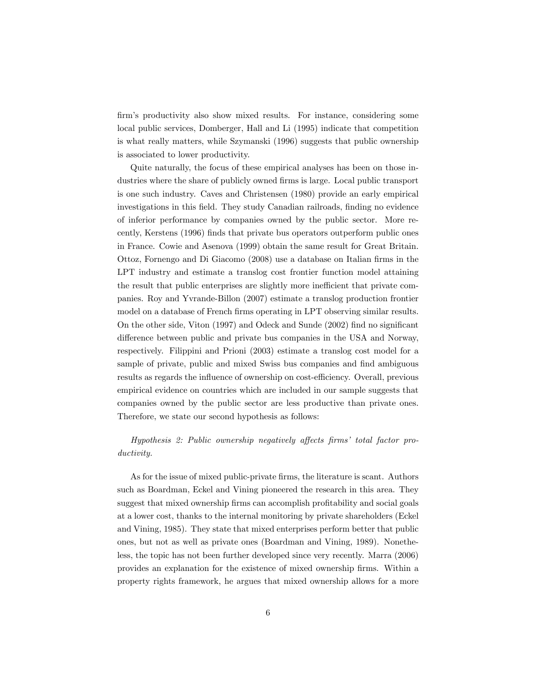firm's productivity also show mixed results. For instance, considering some local public services, Domberger, Hall and Li (1995) indicate that competition is what really matters, while Szymanski (1996) suggests that public ownership is associated to lower productivity.

Quite naturally, the focus of these empirical analyses has been on those industries where the share of publicly owned firms is large. Local public transport is one such industry. Caves and Christensen (1980) provide an early empirical investigations in this field. They study Canadian railroads, finding no evidence of inferior performance by companies owned by the public sector. More recently, Kerstens (1996) Önds that private bus operators outperform public ones in France. Cowie and Asenova (1999) obtain the same result for Great Britain. Ottoz, Fornengo and Di Giacomo (2008) use a database on Italian firms in the LPT industry and estimate a translog cost frontier function model attaining the result that public enterprises are slightly more inefficient that private companies. Roy and Yvrande-Billon (2007) estimate a translog production frontier model on a database of French firms operating in LPT observing similar results. On the other side, Viton  $(1997)$  and Odeck and Sunde  $(2002)$  find no significant difference between public and private bus companies in the USA and Norway, respectively. Filippini and Prioni (2003) estimate a translog cost model for a sample of private, public and mixed Swiss bus companies and find ambiguous results as regards the influence of ownership on cost-efficiency. Overall, previous empirical evidence on countries which are included in our sample suggests that companies owned by the public sector are less productive than private ones. Therefore, we state our second hypothesis as follows:

### Hypothesis 2: Public ownership negatively affects firms' total factor productivity.

As for the issue of mixed public-private firms, the literature is scant. Authors such as Boardman, Eckel and Vining pioneered the research in this area. They suggest that mixed ownership firms can accomplish profitability and social goals at a lower cost, thanks to the internal monitoring by private shareholders (Eckel and Vining, 1985). They state that mixed enterprises perform better that public ones, but not as well as private ones (Boardman and Vining, 1989). Nonetheless, the topic has not been further developed since very recently. Marra (2006) provides an explanation for the existence of mixed ownership firms. Within a property rights framework, he argues that mixed ownership allows for a more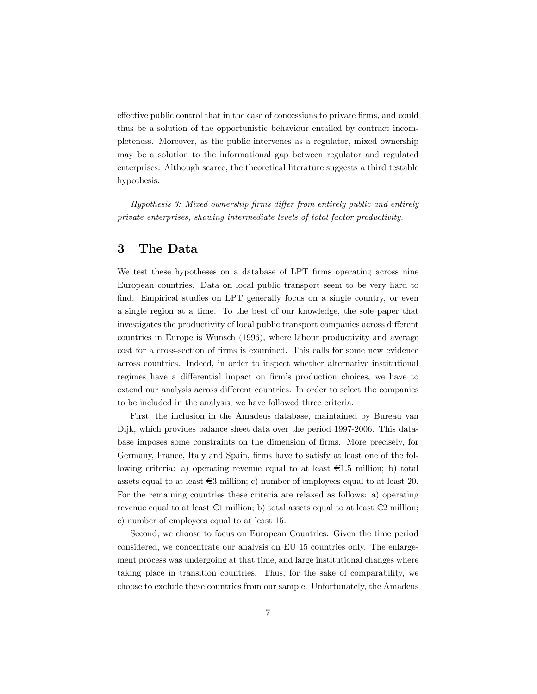effective public control that in the case of concessions to private firms, and could thus be a solution of the opportunistic behaviour entailed by contract incompleteness. Moreover, as the public intervenes as a regulator, mixed ownership may be a solution to the informational gap between regulator and regulated enterprises. Although scarce, the theoretical literature suggests a third testable hypothesis:

Hypothesis 3: Mixed ownership firms differ from entirely public and entirely private enterprises, showing intermediate levels of total factor productivity.

### 3 The Data

We test these hypotheses on a database of LPT firms operating across nine European countries. Data on local public transport seem to be very hard to find. Empirical studies on LPT generally focus on a single country, or even a single region at a time. To the best of our knowledge, the sole paper that investigates the productivity of local public transport companies across different countries in Europe is Wunsch (1996), where labour productivity and average cost for a cross-section of firms is examined. This calls for some new evidence across countries. Indeed, in order to inspect whether alternative institutional regimes have a differential impact on firm's production choices, we have to extend our analysis across different countries. In order to select the companies to be included in the analysis, we have followed three criteria.

First, the inclusion in the Amadeus database, maintained by Bureau van Dijk, which provides balance sheet data over the period 1997-2006. This database imposes some constraints on the dimension of firms. More precisely, for Germany, France, Italy and Spain, firms have to satisfy at least one of the following criteria: a) operating revenue equal to at least  $\epsilon$ 1.5 million; b) total assets equal to at least  $\epsilon$ 3 million; c) number of employees equal to at least 20. For the remaining countries these criteria are relaxed as follows: a) operating revenue equal to at least  $\epsilon$ 1 million; b) total assets equal to at least  $\epsilon$ 2 million; c) number of employees equal to at least 15.

Second, we choose to focus on European Countries. Given the time period considered, we concentrate our analysis on EU 15 countries only. The enlargement process was undergoing at that time, and large institutional changes where taking place in transition countries. Thus, for the sake of comparability, we choose to exclude these countries from our sample. Unfortunately, the Amadeus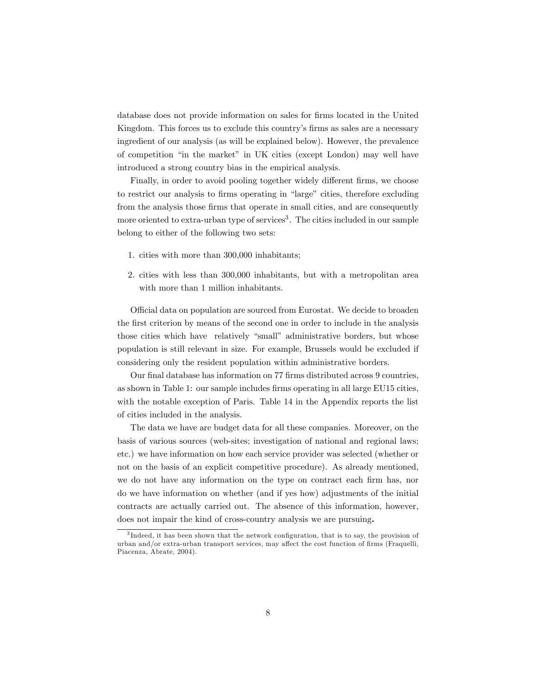database does not provide information on sales for Örms located in the United Kingdom. This forces us to exclude this country's firms as sales are a necessary ingredient of our analysis (as will be explained below). However, the prevalence of competition "in the market" in UK cities (except London) may well have introduced a strong country bias in the empirical analysis.

Finally, in order to avoid pooling together widely different firms, we choose to restrict our analysis to firms operating in "large" cities, therefore excluding from the analysis those firms that operate in small cities, and are consequently more oriented to extra-urban type of services<sup>3</sup>. The cities included in our sample belong to either of the following two sets:

- 1. cities with more than 300,000 inhabitants;
- 2. cities with less than 300,000 inhabitants, but with a metropolitan area with more than 1 million inhabitants.

Official data on population are sourced from Eurostat. We decide to broaden the first criterion by means of the second one in order to include in the analysis those cities which have relatively "small" administrative borders, but whose population is still relevant in size. For example, Brussels would be excluded if considering only the resident population within administrative borders.

Our final database has information on 77 firms distributed across 9 countries, as shown in Table 1: our sample includes firms operating in all large EU15 cities, with the notable exception of Paris. Table 14 in the Appendix reports the list of cities included in the analysis.

The data we have are budget data for all these companies. Moreover, on the basis of various sources (web-sites; investigation of national and regional laws; etc.) we have information on how each service provider was selected (whether or not on the basis of an explicit competitive procedure). As already mentioned, we do not have any information on the type on contract each firm has, nor do we have information on whether (and if yes how) adjustments of the initial contracts are actually carried out. The absence of this information, however, does not impair the kind of cross-country analysis we are pursuing.

<sup>&</sup>lt;sup>3</sup>Indeed, it has been shown that the network configuration, that is to say, the provision of urban and/or extra-urban transport services, may affect the cost function of firms (Fraquelli, Piacenza, Abrate, 2004).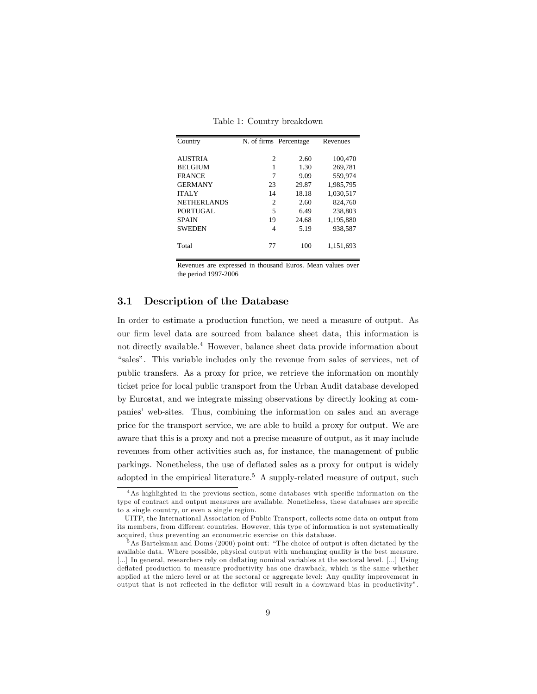| Country            | N. of firms Percentage |       | Revenues  |
|--------------------|------------------------|-------|-----------|
| <b>AUSTRIA</b>     | $\overline{c}$         | 2.60  | 100.470   |
| <b>BELGIUM</b>     | 1                      | 1.30  | 269,781   |
| <b>FRANCE</b>      | 7                      | 9.09  | 559,974   |
| <b>GERMANY</b>     | 23                     | 29.87 | 1,985,795 |
| <b>ITALY</b>       | 14                     | 18.18 | 1,030,517 |
| <b>NETHERLANDS</b> | $\overline{c}$         | 2.60  | 824.760   |
| PORTUGAL           | 5                      | 6.49  | 238,803   |
| <b>SPAIN</b>       | 19                     | 24.68 | 1,195,880 |
| <b>SWEDEN</b>      | 4                      | 5.19  | 938.587   |
| Total              | 77                     | 100   | 1,151,693 |

Table 1: Country breakdown

Revenues are expressed in thousand Euros. Mean values over the period 1997-2006

#### 3.1 Description of the Database

In order to estimate a production function, we need a measure of output. As our firm level data are sourced from balance sheet data, this information is not directly available.<sup>4</sup> However, balance sheet data provide information about "sales". This variable includes only the revenue from sales of services, net of public transfers. As a proxy for price, we retrieve the information on monthly ticket price for local public transport from the Urban Audit database developed by Eurostat, and we integrate missing observations by directly looking at companies' web-sites. Thus, combining the information on sales and an average price for the transport service, we are able to build a proxy for output. We are aware that this is a proxy and not a precise measure of output, as it may include revenues from other activities such as, for instance, the management of public parkings. Nonetheless, the use of deflated sales as a proxy for output is widely adopted in the empirical literature.<sup>5</sup> A supply-related measure of output, such

 $4$ As highlighted in the previous section, some databases with specific information on the type of contract and output measures are available. Nonetheless, these databases are specific to a single country, or even a single region.

UITP, the International Association of Public Transport, collects some data on output from its members, from different countries. However, this type of information is not systematically acquired, thus preventing an econometric exercise on this database.

 $5$ As Bartelsman and Doms (2000) point out: "The choice of output is often dictated by the available data. Where possible, physical output with unchanging quality is the best measure. [...] In general, researchers rely on deflating nominal variables at the sectoral level. [...] Using deflated production to measure productivity has one drawback, which is the same whether applied at the micro level or at the sectoral or aggregate level: Any quality improvement in output that is not reflected in the deflator will result in a downward bias in productivity".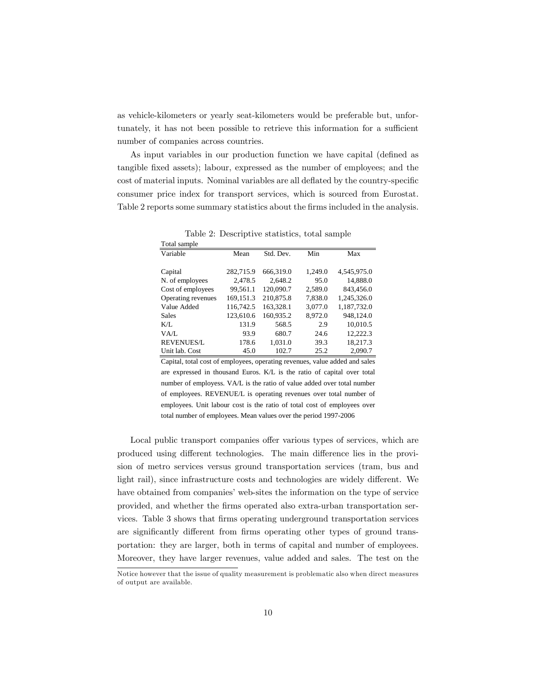as vehicle-kilometers or yearly seat-kilometers would be preferable but, unfortunately, it has not been possible to retrieve this information for a sufficient number of companies across countries.

As input variables in our production function we have capital (defined as tangible fixed assets); labour, expressed as the number of employees; and the cost of material inputs. Nominal variables are all deflated by the country-specific consumer price index for transport services, which is sourced from Eurostat. Table 2 reports some summary statistics about the firms included in the analysis.

| Total sample       |           |           |         |             |
|--------------------|-----------|-----------|---------|-------------|
| Variable           | Mean      | Std. Dev. | Min     | Max         |
|                    |           |           |         |             |
| Capital            | 282,715.9 | 666,319.0 | 1.249.0 | 4,545,975.0 |
| N. of employees    | 2,478.5   | 2.648.2   | 95.0    | 14,888.0    |
| Cost of employees  | 99,561.1  | 120,090.7 | 2,589.0 | 843,456.0   |
| Operating revenues | 169,151.3 | 210,875.8 | 7,838.0 | 1,245,326.0 |
| Value Added        | 116.742.5 | 163,328.1 | 3,077.0 | 1.187.732.0 |
| <b>Sales</b>       | 123,610.6 | 160,935.2 | 8,972.0 | 948,124.0   |
| $K/I$ .            | 131.9     | 568.5     | 2.9     | 10,010.5    |
| VA/L               | 93.9      | 680.7     | 24.6    | 12,222.3    |
| <b>REVENUES/L</b>  | 178.6     | 1,031.0   | 39.3    | 18,217.3    |
| Unit lab. Cost     | 45.0      | 102.7     | 25.2    | 2.090.7     |

Table 2: Descriptive statistics, total sample

Capital, total cost of employees, operating revenues, value added and sales are expressed in thousand Euros. K/L is the ratio of capital over total number of employess. VA/L is the ratio of value added over total number of employees. REVENUE/L is operating revenues over total number of employees. Unit labour cost is the ratio of total cost of employees over total number of employees. Mean values over the period 1997-2006

Local public transport companies offer various types of services, which are produced using different technologies. The main difference lies in the provision of metro services versus ground transportation services (tram, bus and light rail), since infrastructure costs and technologies are widely different. We have obtained from companies' web-sites the information on the type of service provided, and whether the Örms operated also extra-urban transportation services. Table 3 shows that Örms operating underground transportation services are significantly different from firms operating other types of ground transportation: they are larger, both in terms of capital and number of employees. Moreover, they have larger revenues, value added and sales. The test on the

Notice however that the issue of quality measurement is problematic also when direct measures of output are available.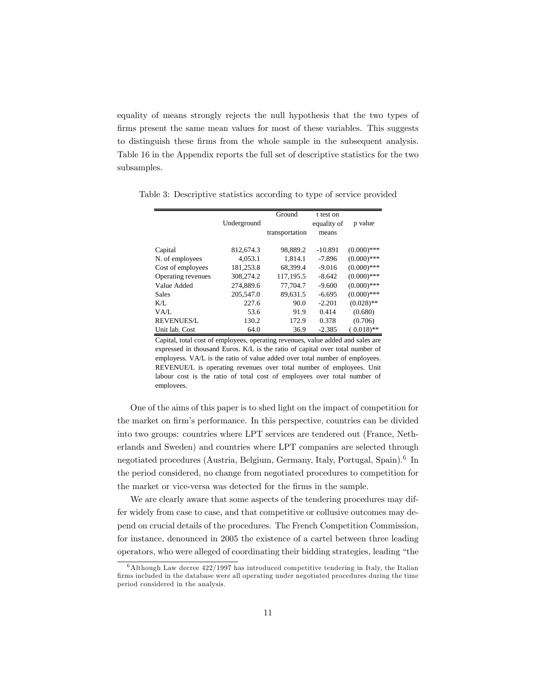equality of means strongly rejects the null hypothesis that the two types of firms present the same mean values for most of these variables. This suggests to distinguish these Örms from the whole sample in the subsequent analysis. Table 16 in the Appendix reports the full set of descriptive statistics for the two subsamples.

|                    |             | Ground         | t test on   |               |
|--------------------|-------------|----------------|-------------|---------------|
|                    | Underground |                | equality of | p value       |
|                    |             | transportation | means       |               |
|                    |             |                |             |               |
| Capital            | 812,674.3   | 98.889.2       | $-10.891$   | $(0.000)$ *** |
| N. of employees    | 4,053.1     | 1,814.1        | $-7.896$    | $(0.000)$ *** |
| Cost of employees  | 181,253.8   | 68.399.4       | $-9.016$    | $(0.000)$ *** |
| Operating revenues | 308.274.2   | 117.195.5      | $-8.642$    | $(0.000)$ *** |
| Value Added        | 274,889.6   | 77.704.7       | $-9.600$    | $(0.000)$ *** |
| <b>Sales</b>       | 205,547.0   | 89.631.5       | $-6.695$    | $(0.000)$ *** |
| K/L                | 227.6       | 90.0           | $-2.201$    | $(0.028)$ **  |
| VA/L               | 53.6        | 91.9           | 0.414       | (0.680)       |
| <b>REVENUES/L</b>  | 130.2       | 172.9          | 0.378       | (0.706)       |
| Unit lab. Cost     | 64.0        | 36.9           | $-2.385$    | $(0.018)$ **  |

Table 3: Descriptive statistics according to type of service provided

Capital, total cost of employees, operating revenues, value added and sales are expressed in thousand Euros. K/L is the ratio of capital over total number of employess. VA/L is the ratio of value added over total number of employees. REVENUE/L is operating revenues over total number of employees. Unit labour cost is the ratio of total cost of employees over total number of employees.

One of the aims of this paper is to shed light on the impact of competition for the market on firm's performance. In this perspective, countries can be divided into two groups: countries where LPT services are tendered out (France, Netherlands and Sweden) and countries where LPT companies are selected through negotiated procedures (Austria, Belgium, Germany, Italy, Portugal, Spain).<sup>6</sup> In the period considered, no change from negotiated procedures to competition for the market or vice-versa was detected for the firms in the sample.

We are clearly aware that some aspects of the tendering procedures may differ widely from case to case, and that competitive or collusive outcomes may depend on crucial details of the procedures. The French Competition Commission, for instance, denounced in 2005 the existence of a cartel between three leading operators, who were alleged of coordinating their bidding strategies, leading "the

 $6$ Although Law decree  $422/1997$  has introduced competitive tendering in Italy, the Italian firms included in the database were all operating under negotiated procedures during the time period considered in the analysis.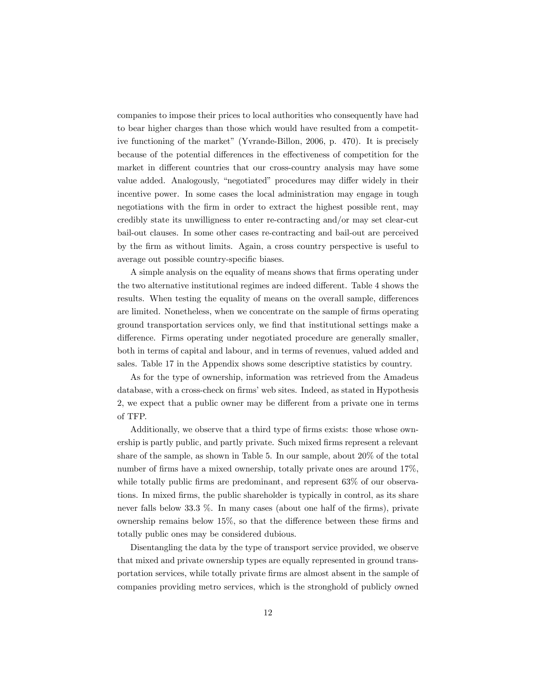companies to impose their prices to local authorities who consequently have had to bear higher charges than those which would have resulted from a competitive functioning of the market" (Yvrande-Billon, 2006, p. 470). It is precisely because of the potential differences in the effectiveness of competition for the market in different countries that our cross-country analysis may have some value added. Analogously, "negotiated" procedures may differ widely in their incentive power. In some cases the local administration may engage in tough negotiations with the firm in order to extract the highest possible rent, may credibly state its unwilligness to enter re-contracting and/or may set clear-cut bail-out clauses. In some other cases re-contracting and bail-out are perceived by the Örm as without limits. Again, a cross country perspective is useful to average out possible country-specific biases.

A simple analysis on the equality of means shows that Örms operating under the two alternative institutional regimes are indeed different. Table 4 shows the results. When testing the equality of means on the overall sample, differences are limited. Nonetheless, when we concentrate on the sample of firms operating ground transportation services only, we find that institutional settings make a difference. Firms operating under negotiated procedure are generally smaller, both in terms of capital and labour, and in terms of revenues, valued added and sales. Table 17 in the Appendix shows some descriptive statistics by country.

As for the type of ownership, information was retrieved from the Amadeus database, with a cross-check on firms' web sites. Indeed, as stated in Hypothesis 2, we expect that a public owner may be different from a private one in terms of TFP.

Additionally, we observe that a third type of firms exists: those whose ownership is partly public, and partly private. Such mixed firms represent a relevant share of the sample, as shown in Table 5. In our sample, about 20% of the total number of firms have a mixed ownership, totally private ones are around  $17\%$ , while totally public firms are predominant, and represent 63% of our observations. In mixed Örms, the public shareholder is typically in control, as its share never falls below 33.3  $\%$ . In many cases (about one half of the firms), private ownership remains below  $15\%$ , so that the difference between these firms and totally public ones may be considered dubious.

Disentangling the data by the type of transport service provided, we observe that mixed and private ownership types are equally represented in ground transportation services, while totally private firms are almost absent in the sample of companies providing metro services, which is the stronghold of publicly owned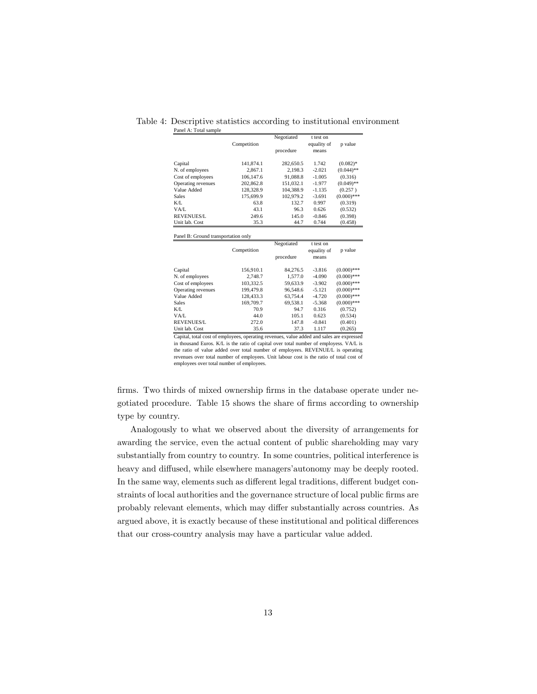|                                     |             | Negotiated | t test on            |               |  |  |
|-------------------------------------|-------------|------------|----------------------|---------------|--|--|
|                                     | Competition |            | equality of          | p value       |  |  |
|                                     |             | procedure  | means                |               |  |  |
|                                     |             |            |                      |               |  |  |
| Capital                             | 141,874.1   | 282,650.5  | 1.742                | $(0.082)$ *   |  |  |
| N. of employees                     | 2,867.1     | 2,198.3    | $-2.021$             | $(0.044)$ **  |  |  |
| Cost of employees                   | 106,147.6   | 91,088.8   | $-1.005$             | (0.316)       |  |  |
| Operating revenues                  | 202,862.8   | 151,032.1  | $-1.977$             | $(0.049)$ **  |  |  |
| Value Added                         | 128.328.9   | 104,388.9  | $-1.135$             | (0.257)       |  |  |
| <b>Sales</b>                        | 175,699.9   | 102,979.2  | $-3.691$             | $(0.000)$ *** |  |  |
| K/L                                 | 63.8        | 132.7      | 0.997                | (0.319)       |  |  |
| VA/L                                | 43.1        | 96.3       | 0.626                | (0.532)       |  |  |
| <b>REVENUES/L</b>                   | 249.6       | 145.0      | $-0.846$             | (0.398)       |  |  |
| Unit lab. Cost                      | 35.3        | 44.7       | 0.744                | (0.458)       |  |  |
|                                     |             |            |                      |               |  |  |
| Panel B: Ground transportation only |             |            |                      |               |  |  |
|                                     |             |            |                      |               |  |  |
|                                     |             | Negotiated | t test on            |               |  |  |
|                                     | Competition |            |                      | p value       |  |  |
|                                     |             | procedure  | equality of<br>means |               |  |  |
|                                     |             |            |                      |               |  |  |
| Capital                             | 156,910.1   | 84,276.5   | $-3.816$             | $(0.000)$ *** |  |  |
| N. of employees                     | 2,748.7     | 1,577.0    | $-4.090$             | $(0.000)$ *** |  |  |
| Cost of employees                   | 103,332.5   | 59,633.9   | $-3.902$             | $(0.000)$ *** |  |  |
| Operating revenues                  | 199,479.8   | 96,548.6   | $-5.121$             | $(0.000)$ *** |  |  |
| Value Added                         | 128,433.3   | 63,754.4   | $-4.720$             | $(0.000)$ *** |  |  |
| Sales                               | 169,709.7   | 69,538.1   | $-5.368$             | $(0.000)$ *** |  |  |
| K/L                                 | 70.9        | 94.7       | 0.316                | (0.752)       |  |  |
| VA/L                                | 44.0        | 105.1      | 0.623                | (0.534)       |  |  |
| <b>REVENUES/L</b>                   | 272.0       | 147.8      | $-0.841$             | (0.401)       |  |  |

Table 4: Descriptive statistics according to institutional environment Panel A: Total sample

Capital, total cost of employees, operating revenues, value added and sales are expressed in thousand Euros. K/L is the ratio of capital over total number of employess. VA/L is the ratio of value added over total number of employees. REVENUE/L is operating revenues over total number of employees. Unit labour cost is the ratio of total cost of employees over total number of employees.

firms. Two thirds of mixed ownership firms in the database operate under negotiated procedure. Table 15 shows the share of firms according to ownership type by country.

Analogously to what we observed about the diversity of arrangements for awarding the service, even the actual content of public shareholding may vary substantially from country to country. In some countries, political interference is heavy and diffused, while elsewhere managers'autonomy may be deeply rooted. In the same way, elements such as different legal traditions, different budget constraints of local authorities and the governance structure of local public firms are probably relevant elements, which may differ substantially across countries. As argued above, it is exactly because of these institutional and political differences that our cross-country analysis may have a particular value added.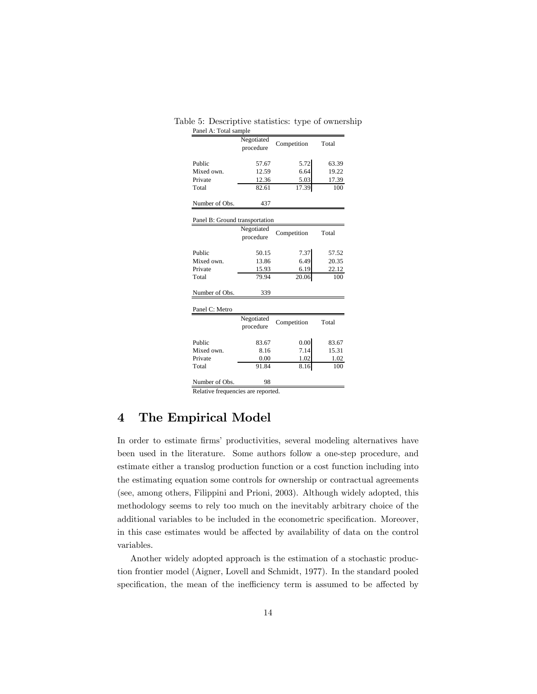| Table 5: Descriptive statistics: type of ownership |  |  |
|----------------------------------------------------|--|--|
|                                                    |  |  |

| Panel A: Total sample              |            |             |       |  |  |
|------------------------------------|------------|-------------|-------|--|--|
|                                    | Negotiated |             | Total |  |  |
|                                    | procedure  | Competition |       |  |  |
|                                    |            |             |       |  |  |
| Public                             | 57.67      | 5.72        | 63.39 |  |  |
| Mixed own.                         | 12.59      | 6.64        | 19.22 |  |  |
| Private                            | 12.36      | 5.03        | 17.39 |  |  |
| Total                              | 82.61      | 17.39       | 100   |  |  |
|                                    |            |             |       |  |  |
| Number of Obs.                     | 437        |             |       |  |  |
|                                    |            |             |       |  |  |
| Panel B: Ground transportation     |            |             |       |  |  |
|                                    | Negotiated |             |       |  |  |
|                                    | procedure  | Competition | Total |  |  |
|                                    |            |             |       |  |  |
| Public                             | 50.15      | 7.37        | 57.52 |  |  |
| Mixed own.                         | 13.86      | 6.49        | 20.35 |  |  |
| Private                            | 15.93      | 6.19        | 22.12 |  |  |
| Total                              | 79.94      | 20.06       | 100   |  |  |
|                                    |            |             |       |  |  |
| Number of Obs.                     | 339        |             |       |  |  |
|                                    |            |             |       |  |  |
| Panel C: Metro                     |            |             |       |  |  |
|                                    | Negotiated |             |       |  |  |
|                                    | procedure  | Competition | Total |  |  |
|                                    |            |             |       |  |  |
| Public                             | 83.67      | 0.00        | 83.67 |  |  |
| Mixed own.                         | 8.16       | 7.14        | 15.31 |  |  |
| Private                            | 0.00       | 1.02        | 1.02  |  |  |
| Total                              | 91.84      | 8.16        | 100   |  |  |
|                                    |            |             |       |  |  |
| Number of Obs.                     | 98         |             |       |  |  |
| Relative frequencies are reported. |            |             |       |  |  |

# 4 The Empirical Model

In order to estimate firms' productivities, several modeling alternatives have been used in the literature. Some authors follow a one-step procedure, and estimate either a translog production function or a cost function including into the estimating equation some controls for ownership or contractual agreements (see, among others, Filippini and Prioni, 2003). Although widely adopted, this methodology seems to rely too much on the inevitably arbitrary choice of the additional variables to be included in the econometric specification. Moreover, in this case estimates would be affected by availability of data on the control variables.

Another widely adopted approach is the estimation of a stochastic production frontier model (Aigner, Lovell and Schmidt, 1977). In the standard pooled specification, the mean of the inefficiency term is assumed to be affected by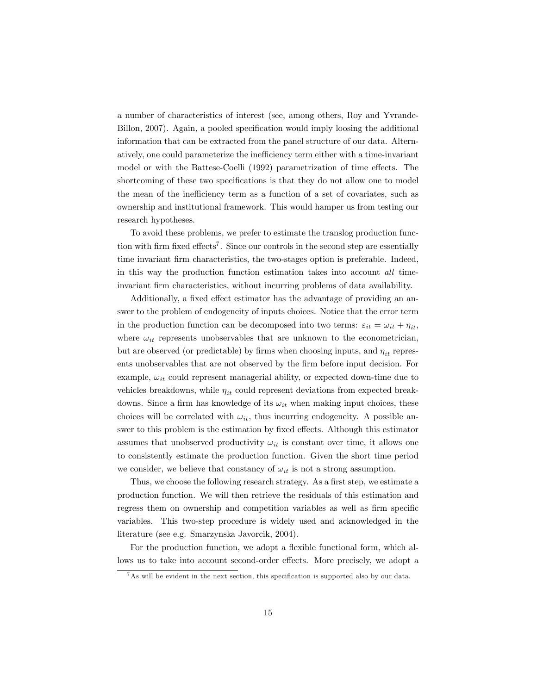a number of characteristics of interest (see, among others, Roy and Yvrande-Billon, 2007). Again, a pooled specification would imply loosing the additional information that can be extracted from the panel structure of our data. Alternatively, one could parameterize the inefficiency term either with a time-invariant model or with the Battese-Coelli (1992) parametrization of time effects. The shortcoming of these two specifications is that they do not allow one to model the mean of the inefficiency term as a function of a set of covariates, such as ownership and institutional framework. This would hamper us from testing our research hypotheses.

To avoid these problems, we prefer to estimate the translog production function with firm fixed effects<sup>7</sup>. Since our controls in the second step are essentially time invariant firm characteristics, the two-stages option is preferable. Indeed, in this way the production function estimation takes into account all timeinvariant firm characteristics, without incurring problems of data availability.

Additionally, a fixed effect estimator has the advantage of providing an answer to the problem of endogeneity of inputs choices. Notice that the error term in the production function can be decomposed into two terms:  $\varepsilon_{it} = \omega_{it} + \eta_{it}$ , where  $\omega_{it}$  represents unobservables that are unknown to the econometrician, but are observed (or predictable) by firms when choosing inputs, and  $\eta_{it}$  represents unobservables that are not observed by the firm before input decision. For example,  $\omega_{it}$  could represent managerial ability, or expected down-time due to vehicles breakdowns, while  $\eta_{it}$  could represent deviations from expected breakdowns. Since a firm has knowledge of its  $\omega_{it}$  when making input choices, these choices will be correlated with  $\omega_{it}$ , thus incurring endogeneity. A possible answer to this problem is the estimation by fixed effects. Although this estimator assumes that unobserved productivity  $\omega_{it}$  is constant over time, it allows one to consistently estimate the production function. Given the short time period we consider, we believe that constancy of  $\omega_{it}$  is not a strong assumption.

Thus, we choose the following research strategy. As a first step, we estimate a production function. We will then retrieve the residuals of this estimation and regress them on ownership and competition variables as well as firm specific variables. This two-step procedure is widely used and acknowledged in the literature (see e.g. Smarzynska Javorcik, 2004).

For the production function, we adopt a flexible functional form, which allows us to take into account second-order effects. More precisely, we adopt a

 $7$ As will be evident in the next section, this specification is supported also by our data.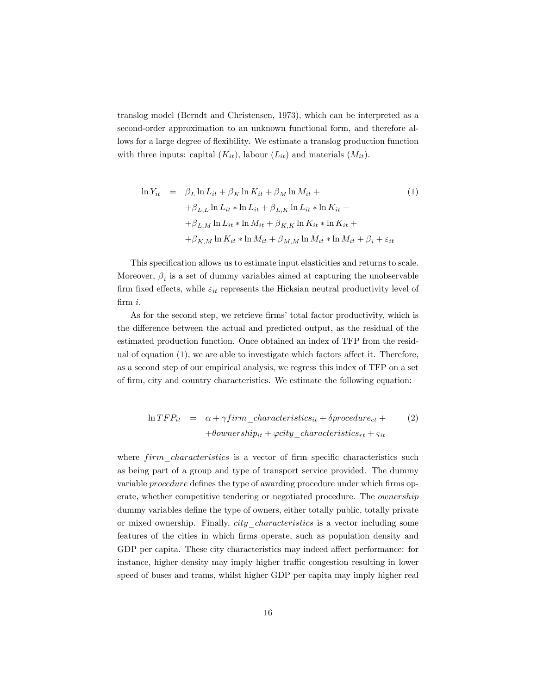translog model (Berndt and Christensen, 1973), which can be interpreted as a second-order approximation to an unknown functional form, and therefore allows for a large degree of flexibility. We estimate a translog production function with three inputs: capital  $(K_{it})$ , labour  $(L_{it})$  and materials  $(M_{it})$ .

$$
\ln Y_{it} = \beta_L \ln L_{it} + \beta_K \ln K_{it} + \beta_M \ln M_{it} +
$$
  
+ $\beta_{L,L} \ln L_{it} * \ln L_{it} + \beta_{L,K} \ln L_{it} * \ln K_{it} +$   
+ $\beta_{L,M} \ln L_{it} * \ln M_{it} + \beta_{K,K} \ln K_{it} * \ln K_{it} +$   
+ $\beta_{K,M} \ln K_{it} * \ln M_{it} + \beta_{M,M} \ln M_{it} * \ln M_{it} + \beta_i + \varepsilon_{it}$ 

This specification allows us to estimate input elasticities and returns to scale. Moreover,  $\beta_i$  is a set of dummy variables aimed at capturing the unobservable firm fixed effects, while  $\varepsilon_{it}$  represents the Hicksian neutral productivity level of Örm i.

As for the second step, we retrieve firms' total factor productivity, which is the difference between the actual and predicted output, as the residual of the estimated production function. Once obtained an index of TFP from the residual of equation  $(1)$ , we are able to investigate which factors affect it. Therefore, as a second step of our empirical analysis, we regress this index of TFP on a set of firm, city and country characteristics. We estimate the following equation:

$$
\ln TFP_{it} = \alpha + \gamma firm\_characteristics_{it} + \delta procedure_{ct} + (2)
$$

$$
+ \theta ownership_{it} + \varphi city\_characteristics_{rt} + \varsigma_{it}
$$

where  $firm$  characteristics is a vector of firm specific characteristics such as being part of a group and type of transport service provided. The dummy variable *procedure* defines the type of awarding procedure under which firms operate, whether competitive tendering or negotiated procedure. The ownership dummy variables define the type of owners, either totally public, totally private or mixed ownership. Finally, *city characteristics* is a vector including some features of the cities in which Örms operate, such as population density and GDP per capita. These city characteristics may indeed affect performance: for instance, higher density may imply higher traffic congestion resulting in lower speed of buses and trams, whilst higher GDP per capita may imply higher real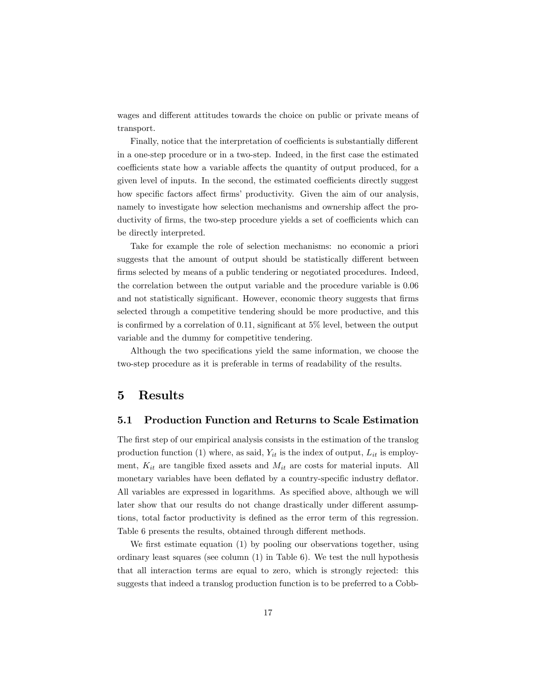wages and different attitudes towards the choice on public or private means of transport.

Finally, notice that the interpretation of coefficients is substantially different in a one-step procedure or in a two-step. Indeed, in the Örst case the estimated coefficients state how a variable affects the quantity of output produced, for a given level of inputs. In the second, the estimated coefficients directly suggest how specific factors affect firms' productivity. Given the aim of our analysis, namely to investigate how selection mechanisms and ownership affect the productivity of firms, the two-step procedure yields a set of coefficients which can be directly interpreted.

Take for example the role of selection mechanisms: no economic a priori suggests that the amount of output should be statistically different between firms selected by means of a public tendering or negotiated procedures. Indeed, the correlation between the output variable and the procedure variable is 0.06 and not statistically significant. However, economic theory suggests that firms selected through a competitive tendering should be more productive, and this is confirmed by a correlation of 0.11, significant at  $5\%$  level, between the output variable and the dummy for competitive tendering.

Although the two specifications yield the same information, we choose the two-step procedure as it is preferable in terms of readability of the results.

### 5 Results

#### 5.1 Production Function and Returns to Scale Estimation

The first step of our empirical analysis consists in the estimation of the translog production function (1) where, as said,  $Y_{it}$  is the index of output,  $L_{it}$  is employment,  $K_{it}$  are tangible fixed assets and  $M_{it}$  are costs for material inputs. All monetary variables have been deflated by a country-specific industry deflator. All variables are expressed in logarithms. As specified above, although we will later show that our results do not change drastically under different assumptions, total factor productivity is defined as the error term of this regression. Table 6 presents the results, obtained through different methods.

We first estimate equation  $(1)$  by pooling our observations together, using ordinary least squares (see column (1) in Table 6). We test the null hypothesis that all interaction terms are equal to zero, which is strongly rejected: this suggests that indeed a translog production function is to be preferred to a Cobb-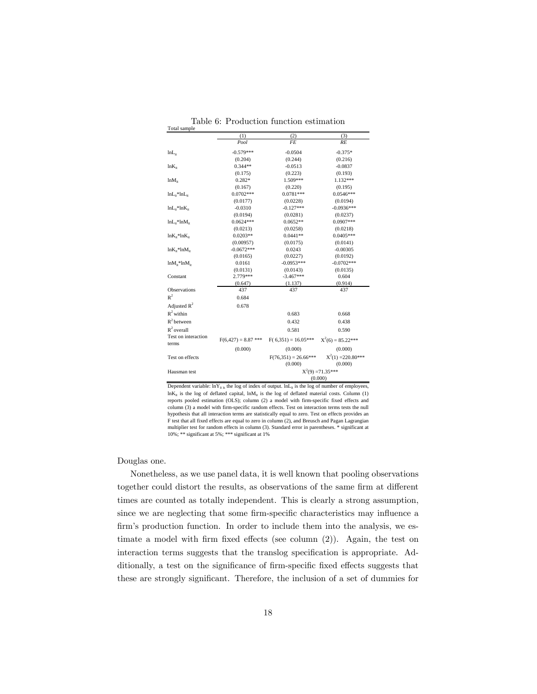|                              | (1)                   | (2)                    | (3)                  |
|------------------------------|-----------------------|------------------------|----------------------|
|                              | Pool                  | FF.                    | RE                   |
| $lnL_{ir}$                   | $-0.579***$           | $-0.0504$              | $-0.375*$            |
|                              | (0.204)               | (0.244)                | (0.216)              |
| $ln K_{i}$                   | $0.344**$             | $-0.0513$              | $-0.0837$            |
|                              | (0.175)               | (0.223)                | (0.193)              |
| $lnM_{it}$                   | $0.282*$              | 1.509***               | 1.132***             |
|                              | (0.167)               | (0.220)                | (0.195)              |
| $lnL_{it}$ * $lnL_{it}$      | $0.0702***$           | $0.0781***$            | $0.0546***$          |
|                              | (0.0177)              | (0.0228)               | (0.0194)             |
| $lnL_{it}$ * $lnK_{it}$      | $-0.0310$             | $-0.127***$            | $-0.0936***$         |
|                              | (0.0194)              | (0.0281)               | (0.0237)             |
| $lnL_{ii}$ * $lnM_{ii}$      | $0.0624***$           | $0.0652**$             | $0.0907***$          |
|                              | (0.0213)              | (0.0258)               | (0.0218)             |
| $ln K_{it}$ * $ln K_{it}$    | $0.0203**$            | $0.0441**$             | $0.0405***$          |
|                              | (0.00957)             | (0.0175)               | (0.0141)             |
| $ln K_{it}$ *ln $M_{it}$     | $-0.0672***$          | 0.0243                 | $-0.00305$           |
|                              | (0.0165)              | (0.0227)               | (0.0192)             |
| $lnM_{it}$ * $lnM_{it}$      | 0.0161                | $-0.0953***$           | $-0.0702***$         |
|                              | (0.0131)              | (0.0143)               | (0.0135)             |
| Constant                     | 2.779***              | $-3.467***$            | 0.604                |
|                              | (0.647)               | (1.137)                | (0.914)              |
| Observations                 | 437                   | 437                    | 437                  |
| $R^2$                        | 0.684                 |                        |                      |
| Adjusted $R^2$               | 0.678                 |                        |                      |
| $R^2$ within                 |                       | 0.683                  | 0.668                |
| $R^2$ between                |                       | 0.432                  | 0.438                |
| $R^2$ overall                |                       | 0.581                  | 0.590                |
| Test on interaction<br>terms | $F(6,427) = 8.87$ *** | $F(6,351) = 16.05***$  | $X^2(6) = 85.22***$  |
|                              | (0.000)               | (0.000)                | (0.000)              |
| Test on effects              |                       | $F(76,351) = 26.66***$ | $X^2(1) = 220.80***$ |
|                              |                       | (0.000)                | (0.000)              |
| Hausman test                 |                       |                        | $X^2(9) = 71.35***$  |
|                              |                       |                        | (0.000)              |

Table 6: Production function estimation Total sample

Dependent variable:  $lnY_{it}$ <sub>is</sub> the log of index of output.  $lnL_{it}$  is the log of number of employees,  $ln K_{it}$  is the log of deflated capital,  $ln M_{it}$  is the log of deflated material costs. Column (1) reports pooled estimation (OLS); column (2) a model with firm-specific fixed effects and column (3) a model with firm-specific random effects. Test on interaction terms tests the null hypothesis that all interaction terms are statistically equal to zero. Test on effects provides an F test that all fixed effects are equal to zero in column (2), and Breusch and Pagan Lagrangian multiplier test for random effects in column (3). Standard error in parentheses. \* significant at 10%; \*\* significant at 5%; \*\*\* significant at 1%

#### Douglas one.

Nonetheless, as we use panel data, it is well known that pooling observations together could distort the results, as observations of the same firm at different times are counted as totally independent. This is clearly a strong assumption, since we are neglecting that some firm-specific characteristics may influence a firm's production function. In order to include them into the analysis, we estimate a model with firm fixed effects (see column  $(2)$ ). Again, the test on interaction terms suggests that the translog specification is appropriate. Additionally, a test on the significance of firm-specific fixed effects suggests that these are strongly significant. Therefore, the inclusion of a set of dummies for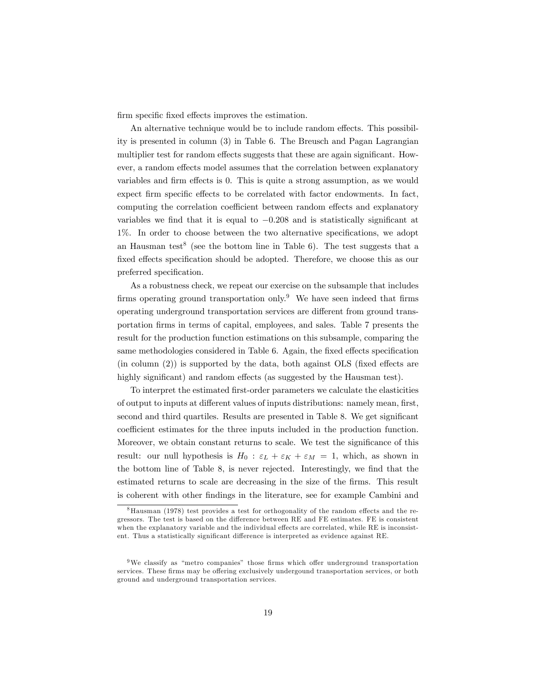firm specific fixed effects improves the estimation.

An alternative technique would be to include random effects. This possibility is presented in column (3) in Table 6. The Breusch and Pagan Lagrangian multiplier test for random effects suggests that these are again significant. However, a random effects model assumes that the correlation between explanatory variables and firm effects is 0. This is quite a strong assumption, as we would expect firm specific effects to be correlated with factor endowments. In fact, computing the correlation coefficient between random effects and explanatory variables we find that it is equal to  $-0.208$  and is statistically significant at 1%. In order to choose between the two alternative specifications, we adopt an Hausman test<sup>8</sup> (see the bottom line in Table 6). The test suggests that a fixed effects specification should be adopted. Therefore, we choose this as our preferred specification.

As a robustness check, we repeat our exercise on the subsample that includes firms operating ground transportation only.<sup>9</sup> We have seen indeed that firms operating underground transportation services are different from ground transportation Örms in terms of capital, employees, and sales. Table 7 presents the result for the production function estimations on this subsample, comparing the same methodologies considered in Table 6. Again, the fixed effects specification  $(in column (2))$  is supported by the data, both against OLS (fixed effects are highly significant) and random effects (as suggested by the Hausman test).

To interpret the estimated Örst-order parameters we calculate the elasticities of output to inputs at different values of inputs distributions: namely mean, first, second and third quartiles. Results are presented in Table 8. We get significant coefficient estimates for the three inputs included in the production function. Moreover, we obtain constant returns to scale. We test the significance of this result: our null hypothesis is  $H_0$ :  $\varepsilon_L + \varepsilon_K + \varepsilon_M = 1$ , which, as shown in the bottom line of Table 8, is never rejected. Interestingly, we find that the estimated returns to scale are decreasing in the size of the firms. This result is coherent with other Öndings in the literature, see for example Cambini and

 $8$ Hausman (1978) test provides a test for orthogonality of the random effects and the regressors. The test is based on the difference between RE and FE estimates. FE is consistent when the explanatory variable and the individual effects are correlated, while RE is inconsistent. Thus a statistically significant difference is interpreted as evidence against RE.

 $9$ We classify as "metro companies" those firms which offer underground transportation services. These firms may be offering exclusively undergound transportation services, or both ground and underground transportation services.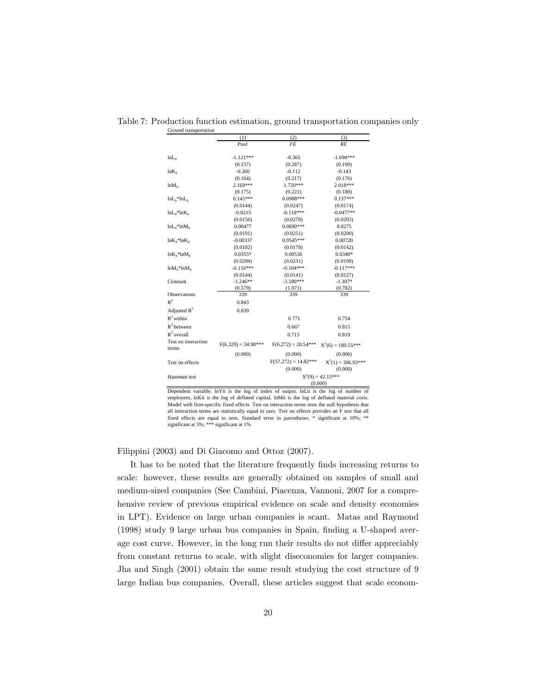| Ground transportation     | (1)                   | (2)                    | (3)                            |
|---------------------------|-----------------------|------------------------|--------------------------------|
|                           | Pool                  | <b>FE</b>              | RE                             |
|                           |                       |                        |                                |
| lnL <sub>ir</sub>         | $-1.121***$           | $-0.365$               | $-1.098***$                    |
|                           | (0.157)               | (0.287)                | (0.199)                        |
| $ln K_{i}$                | $-0.260$              | $-0.112$               | $-0.143$                       |
|                           | (0.164)               | (0.217)                | (0.176)                        |
| $ln M_{it}$               | $2.169***$            | 1.720***               | 2.018***                       |
|                           | (0.175)               | (0.221)                | (0.180)                        |
| $lnL_{it}$ * $lnL_{it}$   | $0.145***$            | 0.0988***              | $0.137***$                     |
|                           | (0.0144)              | (0.0247)               | (0.0174)                       |
| $lnL_{it}$ * $lnK_{it}$   | $-0.0215$             | $-0.118***$            | $-0.0477**$                    |
|                           | (0.0156)              | (0.0278)               | (0.0203)                       |
| $lnL_{it}$ * $lnM_{it}$   | 0.00477               | $0.0690***$            | 0.0275                         |
|                           | (0.0191)              | (0.0251)               | (0.0200)                       |
| $ln K_{it}$ * $ln K_{it}$ | $-0.00337$            | $0.0545***$            | 0.00720                        |
|                           | (0.0102)              | (0.0178)               | (0.0142)                       |
| $ln K_{it}$ * $ln M_{it}$ | $0.0355*$             | 0.00536                | $0.0340*$                      |
|                           | (0.0209)              | (0.0231)               | (0.0199)                       |
| $lnM_{ir}$ * $lnM_{ir}$   | $-0.116***$           | $-0.104***$            | $-0.117***$                    |
|                           | (0.0144)              | (0.0141)               | (0.0127)                       |
| Constant                  | $-1.246**$            | $-3.180***$            | $-1.307*$                      |
|                           | (0.579)               | (1.071)                | (0.782)                        |
| Observations              | 339                   | 339                    | 339                            |
| $R^2$                     | 0.843                 |                        |                                |
| Adjusted $R^2$            | 0.839                 |                        |                                |
| $R^2$ within              |                       | 0.771                  | 0.754                          |
| $R^2$ between             |                       | 0.667                  | 0.815                          |
| $R^2$ overall             |                       | 0.715                  | 0.819                          |
| Test on interaction       | $F(6,329) = 34.98***$ | $F(6,272) = 20.54***$  | $X^2(6) = 180.55***$           |
| terms                     | (0.000)               | (0.000)                | (0.000)                        |
| Test on effects           |                       | $F(57,272) = 14.82***$ | $X^2(1) = 306.93***$           |
|                           |                       | (0.000)                | (0.000)                        |
|                           |                       |                        |                                |
| Hausman test              |                       |                        | $X^2(9) = 42.15***$<br>(0.000) |

Table 7: Production function estimation, ground transportation companies only

Dependent variable: lnYit is the log of index of output. lnLit is the log of number of employees, lnKit is the log of deflated capital, lnMit is the log of deflated material costs. Model with firm-specific fixed effects. Test on interaction terms tests the null hypothesis that all interaction terms are statistically equal to zero. Test on effects provides an F test that all fixed effects are equal to zero. Standard error in parentheses. \* significant at 10%; \*\* significant at 5%; \*\*\* significant at 1%

Filippini (2003) and Di Giacomo and Ottoz (2007).

It has to be noted that the literature frequently Önds increasing returns to scale: however, these results are generally obtained on samples of small and medium-sized companies (See Cambini, Piacenza, Vannoni, 2007 for a comprehensive review of previous empirical evidence on scale and density economies in LPT). Evidence on large urban companies is scant. Matas and Raymond (1998) study 9 large urban bus companies in Spain, finding a U-shaped average cost curve. However, in the long run their results do not differ appreciably from constant returns to scale, with slight diseconomies for larger companies. Jha and Singh (2001) obtain the same result studying the cost structure of 9 large Indian bus companies. Overall, these articles suggest that scale econom-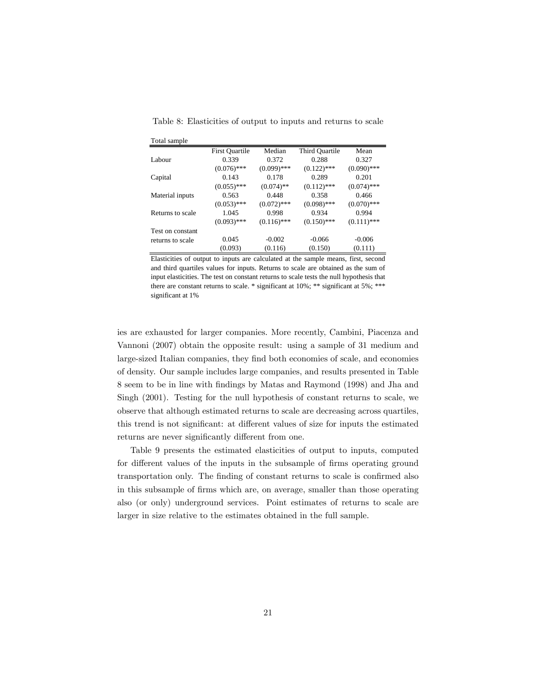| Total sample     |                       |               |                |               |
|------------------|-----------------------|---------------|----------------|---------------|
|                  | <b>First Ouartile</b> | Median        | Third Quartile | Mean          |
| Labour           | 0.339                 | 0.372         | 0.288          | 0.327         |
|                  | $(0.076)$ ***         | $(0.099)$ *** | $(0.122)$ ***  | $(0.090)$ *** |
| Capital          | 0.143                 | 0.178         | 0.289          | 0.201         |
|                  | $(0.055)$ ***         | $(0.074)$ **  | $(0.112)$ ***  | $(0.074)$ *** |
| Material inputs  | 0.563                 | 0.448         | 0.358          | 0.466         |
|                  | $(0.053)$ ***         | $(0.072)$ *** | $(0.098)$ ***  | $(0.070)$ *** |
| Returns to scale | 1.045                 | 0.998         | 0.934          | 0.994         |
|                  | $(0.093)$ ***         | $(0.116)$ *** | $(0.150)$ ***  | $(0.111)$ *** |
| Test on constant |                       |               |                |               |
| returns to scale | 0.045                 | $-0.002$      | $-0.066$       | $-0.006$      |
|                  | (0.093)               | (0.116)       | (0.150)        | (0.111)       |

Table 8: Elasticities of output to inputs and returns to scale

Elasticities of output to inputs are calculated at the sample means, first, second and third quartiles values for inputs. Returns to scale are obtained as the sum of input elasticities. The test on constant returns to scale tests the null hypothesis that there are constant returns to scale. \* significant at 10%; \*\* significant at 5%; \*\*\* significant at 1%

ies are exhausted for larger companies. More recently, Cambini, Piacenza and Vannoni (2007) obtain the opposite result: using a sample of 31 medium and large-sized Italian companies, they find both economies of scale, and economies of density. Our sample includes large companies, and results presented in Table 8 seem to be in line with Öndings by Matas and Raymond (1998) and Jha and Singh (2001). Testing for the null hypothesis of constant returns to scale, we observe that although estimated returns to scale are decreasing across quartiles, this trend is not significant: at different values of size for inputs the estimated returns are never significantly different from one.

Table 9 presents the estimated elasticities of output to inputs, computed for different values of the inputs in the subsample of firms operating ground transportation only. The finding of constant returns to scale is confirmed also in this subsample of firms which are, on average, smaller than those operating also (or only) underground services. Point estimates of returns to scale are larger in size relative to the estimates obtained in the full sample.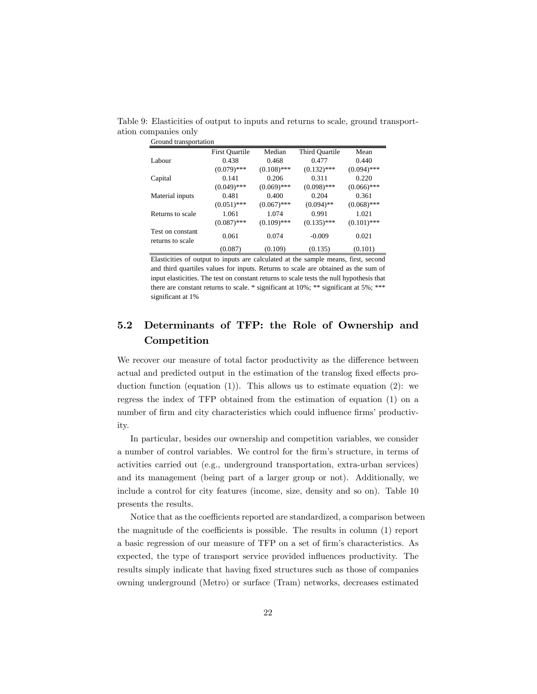|                                      | <b>First Quartile</b> | Median        | Third Quartile | Mean          |
|--------------------------------------|-----------------------|---------------|----------------|---------------|
| Labour                               | 0.438                 | 0.468         | 0.477          | 0.440         |
|                                      | $(0.079)$ ***         | $(0.108)$ *** | $(0.132)$ ***  | $(0.094)$ *** |
| Capital                              | 0.141                 | 0.206         | 0.311          | 0.220         |
|                                      | $(0.049)$ ***         | $(0.069)$ *** | $(0.098)$ ***  | $(0.066)$ *** |
| Material inputs                      | 0.481                 | 0.400         | 0.204          | 0.361         |
|                                      | $(0.051)$ ***         | $(0.067)$ *** | $(0.094)$ **   | $(0.068)$ *** |
| Returns to scale                     | 1.061                 | 1.074         | 0.991          | 1.021         |
|                                      | $(0.087)$ ***         | $(0.109)$ *** | $(0.135)$ ***  | $(0.101)$ *** |
| Test on constant<br>returns to scale | 0.061                 | 0.074         | $-0.009$       | 0.021         |
|                                      | (0.087)               | (0.109)       | (0.135)        | (0.101)       |

Table 9: Elasticities of output to inputs and returns to scale, ground transportation companies only

Elasticities of output to inputs are calculated at the sample means, first, second and third quartiles values for inputs. Returns to scale are obtained as the sum of input elasticities. The test on constant returns to scale tests the null hypothesis that there are constant returns to scale. \* significant at 10%; \*\* significant at 5%; \*\*\* significant at 1%

# 5.2 Determinants of TFP: the Role of Ownership and Competition

We recover our measure of total factor productivity as the difference between actual and predicted output in the estimation of the translog fixed effects production function (equation (1)). This allows us to estimate equation (2): we regress the index of TFP obtained from the estimation of equation (1) on a number of firm and city characteristics which could influence firms' productivity.

In particular, besides our ownership and competition variables, we consider a number of control variables. We control for the firm's structure, in terms of activities carried out (e.g., underground transportation, extra-urban services) and its management (being part of a larger group or not). Additionally, we include a control for city features (income, size, density and so on). Table 10 presents the results.

Notice that as the coefficients reported are standardized, a comparison between the magnitude of the coefficients is possible. The results in column  $(1)$  report a basic regression of our measure of TFP on a set of firm's characteristics. As expected, the type of transport service provided influences productivity. The results simply indicate that having fixed structures such as those of companies owning underground (Metro) or surface (Tram) networks, decreases estimated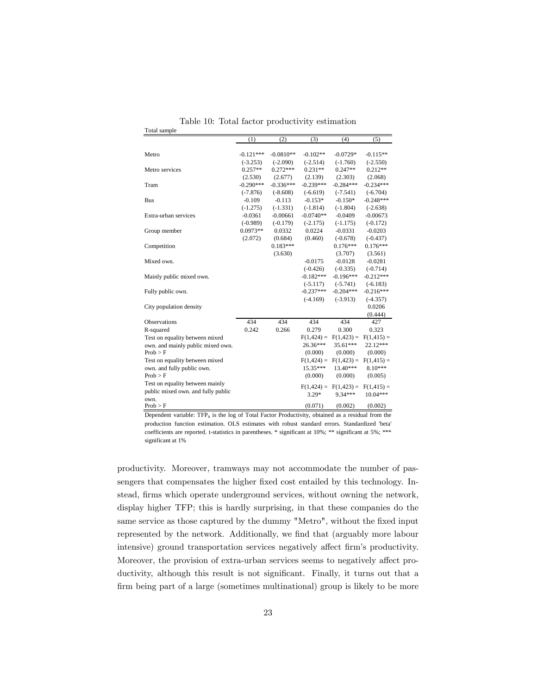|                                    | (1)         | (2)         | (3)           | (4)                                | (5)                        |
|------------------------------------|-------------|-------------|---------------|------------------------------------|----------------------------|
|                                    |             |             |               |                                    |                            |
| Metro                              | $-0.121***$ | $-0.0810**$ | $-0.102**$    | $-0.0729*$                         | $-0.115**$                 |
|                                    | $(-3.253)$  | $(-2.090)$  | $(-2.514)$    | $(-1.760)$                         | $(-2.550)$                 |
| Metro services                     | $0.257**$   | $0.272***$  | $0.231**$     | $0.247**$                          | $0.212**$                  |
|                                    | (2.530)     | (2.677)     | (2.139)       | (2.303)                            | (2.068)                    |
| Tram                               | $-0.290***$ | $-0.336***$ | $-0.239***$   | $-0.284***$                        | $-0.234***$                |
|                                    | $(-7.876)$  | $(-8.608)$  | $(-6.619)$    | $(-7.541)$                         | $(-6.704)$                 |
| <b>Bus</b>                         | $-0.109$    | $-0.113$    | $-0.153*$     | $-0.150*$                          | $-0.248***$                |
|                                    | $(-1.275)$  | $(-1.331)$  | $(-1.814)$    | $(-1.804)$                         | $(-2.638)$                 |
| Extra-urban services               | $-0.0361$   | $-0.00661$  | $-0.0740**$   | $-0.0409$                          | $-0.00673$                 |
|                                    | $(-0.989)$  | $(-0.179)$  | $(-2.175)$    | $(-1.175)$                         | $(-0.172)$                 |
| Group member                       | $0.0973**$  | 0.0332      | 0.0224        | $-0.0331$                          | $-0.0203$                  |
|                                    | (2.072)     | (0.684)     | (0.460)       | $(-0.678)$                         | $(-0.437)$                 |
| Competition                        |             | $0.183***$  |               | $0.176***$                         | $0.176***$                 |
|                                    |             | (3.630)     |               | (3.707)                            | (3.561)                    |
| Mixed own.                         |             |             | $-0.0175$     | $-0.0128$                          | $-0.0281$                  |
|                                    |             |             | $(-0.426)$    | $(-0.335)$                         | $(-0.714)$                 |
| Mainly public mixed own.           |             |             | $-0.182***$   | $-0.196***$                        | $-0.212***$                |
|                                    |             |             | $(-5.117)$    | $(-5.741)$                         | $(-6.183)$                 |
| Fully public own.                  |             |             | $-0.237***$   | $-0.204***$                        | $-0.216***$                |
|                                    |             |             | $(-4.169)$    | $(-3.913)$                         | $(-4.357)$                 |
| City population density            |             |             |               |                                    | 0.0206                     |
|                                    |             |             |               |                                    | (0.444)                    |
| Observations                       | 434         | 434         | 434           | 434                                | 427                        |
| R-squared                          | 0.242       | 0.266       | 0.279         | 0.300                              | 0.323                      |
| Test on equality between mixed     |             |             | $F(1, 424) =$ | $F(1, 423) =$                      | $F(1,415) =$               |
| own, and mainly public mixed own.  |             |             | 26.36***      | 35.61***                           | 22.12***                   |
| Prob > F                           |             |             | (0.000)       | (0.000)                            | (0.000)                    |
| Test on equality between mixed     |             |             |               | $F(1,424) = F(1,423) =$            | $F(1,415) =$               |
| own. and fully public own.         |             |             | 15.35***      | 13.40***                           | 8.10***                    |
| Prob > F                           |             |             | (0.000)       | (0.000)                            | (0.005)                    |
| Test on equality between mainly    |             |             |               |                                    |                            |
| public mixed own, and fully public |             |             | $3.29*$       | $F(1,424) = F(1,423) =$<br>9.34*** | $F(1,415) =$<br>$10.04***$ |
| own.                               |             |             |               |                                    |                            |
| Prob > F                           |             |             | (0.071)       | (0.002)                            | (0.002)                    |

Table 10: Total factor productivity estimation

Total sample

Dependent variable:  $TFP_{it}$  is the log of Total Factor Productivity, obtained as a residual from the production function estimation. OLS estimates with robust standard errors. Standardized 'beta' coefficients are reported. t-statistics in parentheses. \* significant at 10%; \*\* significant at 5%; \*\*\* significant at 1%

productivity. Moreover, tramways may not accommodate the number of passengers that compensates the higher fixed cost entailed by this technology. Instead, firms which operate underground services, without owning the network, display higher TFP; this is hardly surprising, in that these companies do the same service as those captured by the dummy "Metro", without the fixed input represented by the network. Additionally, we find that (arguably more labour intensive) ground transportation services negatively affect firm's productivity. Moreover, the provision of extra-urban services seems to negatively affect productivity, although this result is not significant. Finally, it turns out that a firm being part of a large (sometimes multinational) group is likely to be more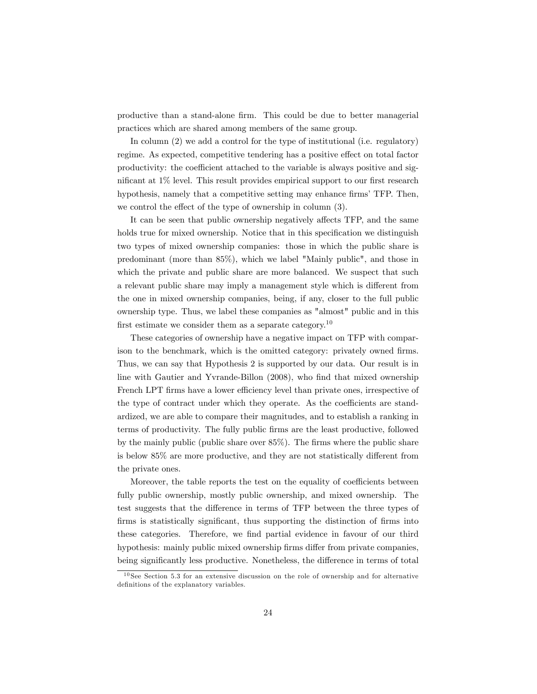productive than a stand-alone firm. This could be due to better managerial practices which are shared among members of the same group.

In column (2) we add a control for the type of institutional (i.e. regulatory) regime. As expected, competitive tendering has a positive effect on total factor productivity: the coefficient attached to the variable is always positive and significant at  $1\%$  level. This result provides empirical support to our first research hypothesis, namely that a competitive setting may enhance firms' TFP. Then, we control the effect of the type of ownership in column  $(3)$ .

It can be seen that public ownership negatively affects TFP, and the same holds true for mixed ownership. Notice that in this specification we distinguish two types of mixed ownership companies: those in which the public share is predominant (more than 85%), which we label "Mainly public", and those in which the private and public share are more balanced. We suspect that such a relevant public share may imply a management style which is different from the one in mixed ownership companies, being, if any, closer to the full public ownership type. Thus, we label these companies as "almost" public and in this first estimate we consider them as a separate category.<sup>10</sup>

These categories of ownership have a negative impact on TFP with comparison to the benchmark, which is the omitted category: privately owned firms. Thus, we can say that Hypothesis 2 is supported by our data. Our result is in line with Gautier and Yvrande-Billon (2008), who find that mixed ownership French LPT firms have a lower efficiency level than private ones, irrespective of the type of contract under which they operate. As the coefficients are standardized, we are able to compare their magnitudes, and to establish a ranking in terms of productivity. The fully public Örms are the least productive, followed by the mainly public (public share over  $85\%$ ). The firms where the public share is below  $85\%$  are more productive, and they are not statistically different from the private ones.

Moreover, the table reports the test on the equality of coefficients between fully public ownership, mostly public ownership, and mixed ownership. The test suggests that the difference in terms of TFP between the three types of firms is statistically significant, thus supporting the distinction of firms into these categories. Therefore, we find partial evidence in favour of our third hypothesis: mainly public mixed ownership firms differ from private companies, being significantly less productive. Nonetheless, the difference in terms of total

 $10$  See Section 5.3 for an extensive discussion on the role of ownership and for alternative definitions of the explanatory variables.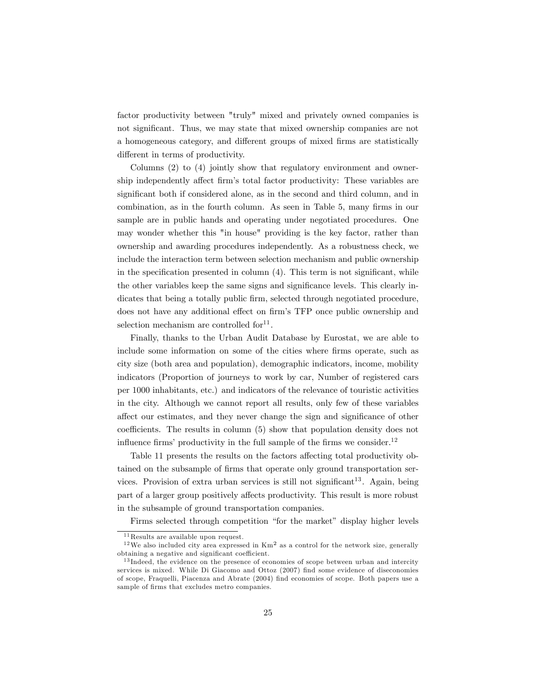factor productivity between "truly" mixed and privately owned companies is not significant. Thus, we may state that mixed ownership companies are not a homogeneous category, and different groups of mixed firms are statistically different in terms of productivity.

Columns (2) to (4) jointly show that regulatory environment and ownership independently affect firm's total factor productivity: These variables are significant both if considered alone, as in the second and third column, and in combination, as in the fourth column. As seen in Table 5, many firms in our sample are in public hands and operating under negotiated procedures. One may wonder whether this "in house" providing is the key factor, rather than ownership and awarding procedures independently. As a robustness check, we include the interaction term between selection mechanism and public ownership in the specification presented in column  $(4)$ . This term is not significant, while the other variables keep the same signs and significance levels. This clearly indicates that being a totally public firm, selected through negotiated procedure, does not have any additional effect on firm's TFP once public ownership and selection mechanism are controlled  $\text{for}^{11}$ .

Finally, thanks to the Urban Audit Database by Eurostat, we are able to include some information on some of the cities where firms operate, such as city size (both area and population), demographic indicators, income, mobility indicators (Proportion of journeys to work by car, Number of registered cars per 1000 inhabitants, etc.) and indicators of the relevance of touristic activities in the city. Although we cannot report all results, only few of these variables affect our estimates, and they never change the sign and significance of other coefficients. The results in column  $(5)$  show that population density does not influence firms' productivity in the full sample of the firms we consider.<sup>12</sup>

Table 11 presents the results on the factors affecting total productivity obtained on the subsample of firms that operate only ground transportation services. Provision of extra urban services is still not significant<sup>13</sup>. Again, being part of a larger group positively affects productivity. This result is more robust in the subsample of ground transportation companies.

Firms selected through competition "for the market" display higher levels

 $11$  Results are available upon request.

 $12$  We also included city area expressed in  $\text{Km}^2$  as a control for the network size, generally obtaining a negative and significant coefficient.

<sup>&</sup>lt;sup>13</sup> Indeed, the evidence on the presence of economies of scope between urban and intercity services is mixed. While Di Giacomo and Ottoz (2007) find some evidence of diseconomies of scope, Fraquelli, Piacenza and Abrate (2004) Önd economies of scope. Both papers use a sample of firms that excludes metro companies.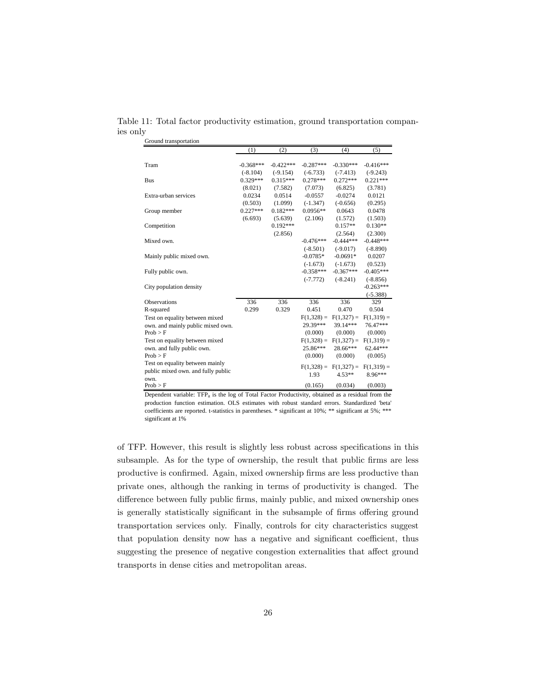Table 11: Total factor productivity estimation, ground transportation companies only

| Ground transportation              |             |             |              |              |                         |
|------------------------------------|-------------|-------------|--------------|--------------|-------------------------|
|                                    | (1)         | (2)         | (3)          | (4)          | (5)                     |
|                                    |             |             |              |              |                         |
| Tram                               | $-0.368***$ | $-0.422***$ | $-0.287***$  | $-0.330***$  | $-0.416***$             |
|                                    | $(-8.104)$  | $(-9.154)$  | $(-6.733)$   | $(-7.413)$   | $(-9.243)$              |
| Bus                                | $0.329***$  | $0.315***$  | $0.278***$   | $0.272***$   | $0.221***$              |
|                                    | (8.021)     | (7.582)     | (7.073)      | (6.825)      | (3.781)                 |
| Extra-urban services               | 0.0234      | 0.0514      | $-0.0557$    | $-0.0274$    | 0.0121                  |
|                                    | (0.503)     | (1.099)     | $(-1.347)$   | $(-0.656)$   | (0.295)                 |
| Group member                       | $0.227***$  | $0.182***$  | $0.0956**$   | 0.0643       | 0.0478                  |
|                                    | (6.693)     | (5.639)     | (2.106)      | (1.572)      | (1.503)                 |
| Competition                        |             | $0.192***$  |              | $0.157**$    | $0.130**$               |
|                                    |             | (2.856)     |              | (2.564)      | (2.300)                 |
| Mixed own.                         |             |             | $-0.476***$  | $-0.444***$  | $-0.448***$             |
|                                    |             |             | $(-8.501)$   | $(-9.017)$   | $(-8.890)$              |
| Mainly public mixed own.           |             |             | $-0.0785*$   | $-0.0691*$   | 0.0207                  |
|                                    |             |             | $(-1.673)$   | $(-1.673)$   | (0.523)                 |
| Fully public own.                  |             |             | $-0.358***$  | $-0.367***$  | $-0.405***$             |
|                                    |             |             | $(-7.772)$   | $(-8.241)$   | $(-8.856)$              |
| City population density            |             |             |              |              | $-0.263***$             |
|                                    |             |             |              |              | $(-5.388)$              |
| Observations                       | 336         | 336         | 336          | 336          | 329                     |
| R-squared                          | 0.299       | 0.329       | 0.451        | 0.470        | 0.504                   |
| Test on equality between mixed     |             |             | $F(1,328) =$ | $F(1,327) =$ | $F(1,319) =$            |
| own, and mainly public mixed own.  |             |             | 29.39***     | 39.14***     | 76.47***                |
| Prob > F                           |             |             | (0.000)      | (0.000)      | (0.000)                 |
| Test on equality between mixed     |             |             | $F(1,328) =$ | $F(1,327) =$ | $F(1,319) =$            |
| own. and fully public own.         |             |             | 25.86***     | 28.66***     | 62.44***                |
| Prob > F                           |             |             | (0.000)      | (0.000)      | (0.005)                 |
| Test on equality between mainly    |             |             | $F(1,328) =$ |              | $F(1,327) = F(1,319) =$ |
| public mixed own, and fully public |             |             | 1.93         | $4.53**$     | 8.96***                 |
| own.                               |             |             |              |              |                         |
| Prob > F                           |             |             | (0.165)      | (0.034)      | (0.003)                 |

Dependent variable:  $TFP_{it}$  is the log of Total Factor Productivity, obtained as a residual from the production function estimation. OLS estimates with robust standard errors. Standardized 'beta' coefficients are reported. t-statistics in parentheses. \* significant at 10%; \*\* significant at 5%; \*\*\* significant at 1%

of TFP. However, this result is slightly less robust across specifications in this subsample. As for the type of ownership, the result that public firms are less productive is confirmed. Again, mixed ownership firms are less productive than private ones, although the ranking in terms of productivity is changed. The difference between fully public firms, mainly public, and mixed ownership ones is generally statistically significant in the subsample of firms offering ground transportation services only. Finally, controls for city characteristics suggest that population density now has a negative and significant coefficient, thus suggesting the presence of negative congestion externalities that affect ground transports in dense cities and metropolitan areas.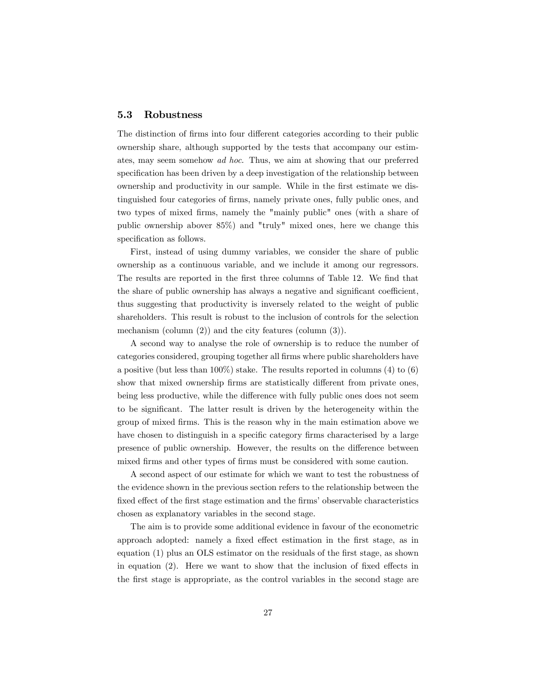#### 5.3 Robustness

The distinction of firms into four different categories according to their public ownership share, although supported by the tests that accompany our estimates, may seem somehow ad hoc. Thus, we aim at showing that our preferred specification has been driven by a deep investigation of the relationship between ownership and productivity in our sample. While in the first estimate we distinguished four categories of firms, namely private ones, fully public ones, and two types of mixed firms, namely the "mainly public" ones (with a share of public ownership abover 85%) and "truly" mixed ones, here we change this specification as follows.

First, instead of using dummy variables, we consider the share of public ownership as a continuous variable, and we include it among our regressors. The results are reported in the first three columns of Table 12. We find that the share of public ownership has always a negative and significant coefficient, thus suggesting that productivity is inversely related to the weight of public shareholders. This result is robust to the inclusion of controls for the selection mechanism (column (2)) and the city features (column (3)).

A second way to analyse the role of ownership is to reduce the number of categories considered, grouping together all firms where public shareholders have a positive (but less than  $100\%$ ) stake. The results reported in columns (4) to (6) show that mixed ownership firms are statistically different from private ones, being less productive, while the difference with fully public ones does not seem to be significant. The latter result is driven by the heterogeneity within the group of mixed Örms. This is the reason why in the main estimation above we have chosen to distinguish in a specific category firms characterised by a large presence of public ownership. However, the results on the difference between mixed firms and other types of firms must be considered with some caution.

A second aspect of our estimate for which we want to test the robustness of the evidence shown in the previous section refers to the relationship between the fixed effect of the first stage estimation and the firms' observable characteristics chosen as explanatory variables in the second stage.

The aim is to provide some additional evidence in favour of the econometric approach adopted: namely a fixed effect estimation in the first stage, as in equation  $(1)$  plus an OLS estimator on the residuals of the first stage, as shown in equation  $(2)$ . Here we want to show that the inclusion of fixed effects in the Örst stage is appropriate, as the control variables in the second stage are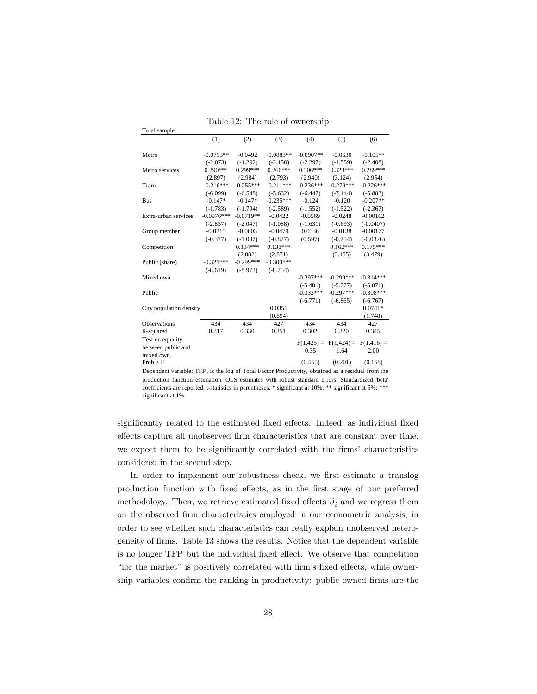|                         | (1)          | (2)         | (3)         | (4)           | (5)           | (6)          |
|-------------------------|--------------|-------------|-------------|---------------|---------------|--------------|
|                         |              |             |             |               |               |              |
| Metro                   | $-0.0753**$  | $-0.0492$   | $-0.0883**$ | $-0.0907**$   | $-0.0630$     | $-0.105**$   |
|                         | $(-2.073)$   | $(-1.292)$  | $(-2.150)$  | $(-2.297)$    | $(-1.559)$    | $(-2.408)$   |
| Metro services          | $0.290***$   | $0.299***$  | $0.266***$  | $0.306***$    | $0.323***$    | $0.289***$   |
|                         | (2.897)      | (2.984)     | (2.793)     | (2.940)       | (3.124)       | (2.954)      |
| Tram                    | $-0.216***$  | $-0.255***$ | $-0.211***$ | $-0.236***$   | $-0.279***$   | $-0.226***$  |
|                         | $(-6.099)$   | $(-6.548)$  | $(-5.632)$  | $(-6.447)$    | $(-7.144)$    | $(-5.883)$   |
| <b>Bus</b>              | $-0.147*$    | $-0.147*$   | $-0.235***$ | $-0.124$      | $-0.120$      | $-0.207**$   |
|                         | $(-1.783)$   | $(-1.794)$  | $(-2.589)$  | $(-1.552)$    | $(-1.522)$    | $(-2.367)$   |
| Extra-urban services    | $-0.0976***$ | $-0.0719**$ | $-0.0422$   | $-0.0569$     | $-0.0248$     | $-0.00162$   |
|                         | $(-2.857)$   | $(-2.047)$  | $(-1.088)$  | $(-1.631)$    | $(-0.693)$    | $(-0.0407)$  |
| Group member            | $-0.0215$    | $-0.0603$   | $-0.0479$   | 0.0336        | $-0.0138$     | $-0.00177$   |
|                         | $(-0.377)$   | $(-1.087)$  | $(-0.877)$  | (0.597)       | $(-0.254)$    | $(-0.0326)$  |
| Competition             |              | $0.134***$  | $0.138***$  |               | $0.162***$    | $0.175***$   |
|                         |              | (2.882)     | (2.871)     |               | (3.455)       | (3.479)      |
| Public (share)          | $-0.321***$  | $-0.299***$ | $-0.300***$ |               |               |              |
|                         | $(-8.619)$   | $(-8.972)$  | $(-8.754)$  |               |               |              |
| Mixed own.              |              |             |             | $-0.297***$   | $-0.299***$   | $-0.314***$  |
|                         |              |             |             | $(-5.481)$    | $(-5.777)$    | $(-5.871)$   |
| Public                  |              |             |             | $-0.332***$   | $-0.297***$   | $-0.308***$  |
|                         |              |             |             | $(-6.771)$    | $(-6.865)$    | $(-6.767)$   |
| City population density |              |             | 0.0351      |               |               | $0.0741*$    |
|                         |              |             | (0.894)     |               |               | (1.748)      |
| <b>Observations</b>     | 434          | 434         | 427         | 434           | 434           | 427          |
| R-squared               | 0.317        | 0.330       | 0.351       | 0.302         | 0.320         | 0.345        |
| Test on equality        |              |             |             | $F(1, 425) =$ | $F(1, 424) =$ | $F(1,416) =$ |
| between public and      |              |             |             | 0.35          | 1.64          | 2.00         |
| mixed own.              |              |             |             |               |               |              |
| Prob > F                |              |             |             | (0.555)       | (0.201)       | (0.158)      |

Table 12: The role of ownership

Total sample

Dependent variable: TFP<sub>it</sub> is the log of Total Factor Productivity, obtained as a residual from the production function estimation. OLS estimates with robust standard errors. Standardized 'beta' coefficients are reported. t-statistics in parentheses. \* significant at 10%; \*\* significant at 5%; \*\*\* significant at 1%

significantly related to the estimated fixed effects. Indeed, as individual fixed effects capture all unobserved firm characteristics that are constant over time, we expect them to be significantly correlated with the firms' characteristics considered in the second step.

In order to implement our robustness check, we first estimate a translog production function with fixed effects, as in the first stage of our preferred methodology. Then, we retrieve estimated fixed effects  $\beta_i$  and we regress them on the observed firm characteristics employed in our econometric analysis, in order to see whether such characteristics can really explain unobserved heterogeneity of Örms. Table 13 shows the results. Notice that the dependent variable is no longer TFP but the individual fixed effect. We observe that competition "for the market" is positively correlated with firm's fixed effects, while ownership variables confirm the ranking in productivity: public owned firms are the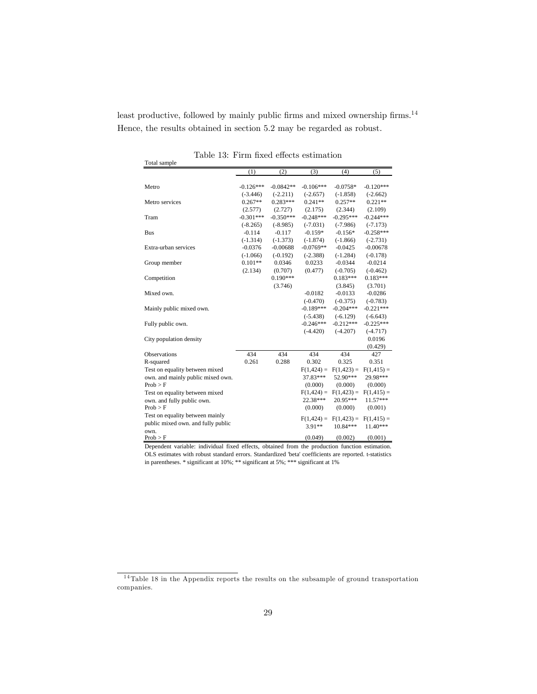least productive, followed by mainly public firms and mixed ownership firms.<sup>14</sup> Hence, the results obtained in section 5.2 may be regarded as robust.

| Total sample                       |             |             |               |               |               |
|------------------------------------|-------------|-------------|---------------|---------------|---------------|
|                                    | (1)         | (2)         | (3)           | (4)           | (5)           |
|                                    |             |             |               |               |               |
| Metro                              | $-0.126***$ | $-0.0842**$ | $-0.106***$   | $-0.0758*$    | $-0.120***$   |
|                                    | $(-3.446)$  | $(-2.211)$  | $(-2.657)$    | $(-1.858)$    | $(-2.662)$    |
| Metro services                     | $0.267**$   | $0.283***$  | $0.241**$     | $0.257**$     | $0.221**$     |
|                                    | (2.577)     | (2.727)     | (2.175)       | (2.344)       | (2.109)       |
| Tram                               | $-0.301***$ | $-0.350***$ | $-0.248***$   | $-0.295***$   | $-0.244***$   |
|                                    | $(-8.265)$  | $(-8.985)$  | $(-7.031)$    | $(-7.986)$    | $(-7.173)$    |
| <b>Bus</b>                         | $-0.114$    | $-0.117$    | $-0.159*$     | $-0.156*$     | $-0.258***$   |
|                                    | $(-1.314)$  | $(-1.373)$  | $(-1.874)$    | $(-1.866)$    | $(-2.731)$    |
| Extra-urban services               | $-0.0376$   | $-0.00688$  | $-0.0769**$   | $-0.0425$     | $-0.00678$    |
|                                    | $(-1.066)$  | $(-0.192)$  | $(-2.388)$    | $(-1.284)$    | $(-0.178)$    |
| Group member                       | $0.101**$   | 0.0346      | 0.0233        | $-0.0344$     | $-0.0214$     |
|                                    | (2.134)     | (0.707)     | (0.477)       | $(-0.705)$    | $(-0.462)$    |
| Competition                        |             | $0.190***$  |               | $0.183***$    | $0.183***$    |
|                                    |             | (3.746)     |               | (3.845)       | (3.701)       |
| Mixed own.                         |             |             | $-0.0182$     | $-0.0133$     | $-0.0286$     |
|                                    |             |             | $(-0.470)$    | $(-0.375)$    | $(-0.783)$    |
| Mainly public mixed own.           |             |             | $-0.189***$   | $-0.204***$   | $-0.221***$   |
|                                    |             |             | $(-5.438)$    | $(-6.129)$    | $(-6.643)$    |
| Fully public own.                  |             |             | $-0.246***$   | $-0.212***$   | $-0.225***$   |
|                                    |             |             | $(-4.420)$    | $(-4.207)$    | $(-4.717)$    |
| City population density            |             |             |               |               | 0.0196        |
|                                    |             |             |               |               | (0.429)       |
| <b>Observations</b>                | 434         | 434         | 434           | 434           | 427           |
| R-squared                          | 0.261       | 0.288       | 0.302         | 0.325         | 0.351         |
| Test on equality between mixed     |             |             | $F(1, 424) =$ | $F(1, 423) =$ | $F(1, 415) =$ |
| own. and mainly public mixed own.  |             |             | 37.83***      | 52.90***      | 29.98***      |
| Prob > F                           |             |             | (0.000)       | (0.000)       | (0.000)       |
| Test on equality between mixed     |             |             | $F(1, 424) =$ | $F(1, 423) =$ | $F(1,415) =$  |
| own. and fully public own.         |             |             | 22.38***      | 20.95***      | 11.57***      |
| Prob > F                           |             |             | (0.000)       | (0.000)       | (0.001)       |
| Test on equality between mainly    |             |             | $F(1, 424) =$ | $F(1, 423) =$ | $F(1,415) =$  |
| public mixed own. and fully public |             |             | $3.91**$      | $10.84***$    | $11.40***$    |
| own.                               |             |             |               |               |               |
| Prob > F                           |             |             | (0.049)       | (0.002)       | (0.001)       |

Table 13: Firm fixed effects estimation

Dependent variable: individual fixed effects, obtained from the production function estimation. OLS estimates with robust standard errors. Standardized 'beta' coefficients are reported. t-statistics in parentheses. \* significant at 10%; \*\* significant at 5%; \*\*\* significant at 1%

 $14$  Table 18 in the Appendix reports the results on the subsample of ground transportation companies.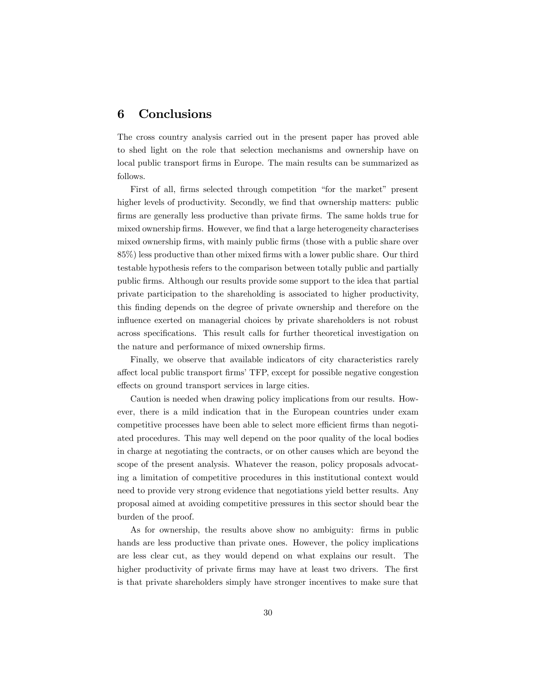# 6 Conclusions

The cross country analysis carried out in the present paper has proved able to shed light on the role that selection mechanisms and ownership have on local public transport firms in Europe. The main results can be summarized as follows.

First of all, firms selected through competition "for the market" present higher levels of productivity. Secondly, we find that ownership matters: public firms are generally less productive than private firms. The same holds true for mixed ownership firms. However, we find that a large heterogeneity characterises mixed ownership firms, with mainly public firms (those with a public share over  $85\%$ ) less productive than other mixed firms with a lower public share. Our third testable hypothesis refers to the comparison between totally public and partially public Örms. Although our results provide some support to the idea that partial private participation to the shareholding is associated to higher productivity, this Önding depends on the degree of private ownership and therefore on the influence exerted on managerial choices by private shareholders is not robust across specifications. This result calls for further theoretical investigation on the nature and performance of mixed ownership firms.

Finally, we observe that available indicators of city characteristics rarely a§ect local public transport ÖrmsíTFP, except for possible negative congestion effects on ground transport services in large cities.

Caution is needed when drawing policy implications from our results. However, there is a mild indication that in the European countries under exam competitive processes have been able to select more efficient firms than negotiated procedures. This may well depend on the poor quality of the local bodies in charge at negotiating the contracts, or on other causes which are beyond the scope of the present analysis. Whatever the reason, policy proposals advocating a limitation of competitive procedures in this institutional context would need to provide very strong evidence that negotiations yield better results. Any proposal aimed at avoiding competitive pressures in this sector should bear the burden of the proof.

As for ownership, the results above show no ambiguity: firms in public hands are less productive than private ones. However, the policy implications are less clear cut, as they would depend on what explains our result. The higher productivity of private firms may have at least two drivers. The first is that private shareholders simply have stronger incentives to make sure that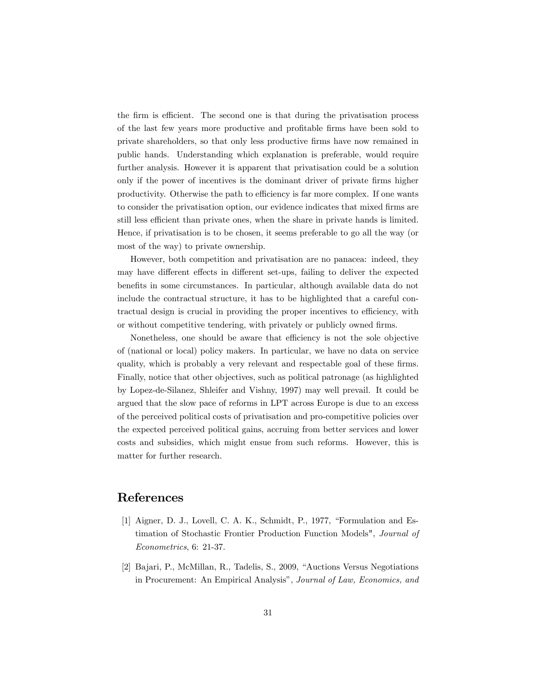the firm is efficient. The second one is that during the privatisation process of the last few years more productive and proÖtable Örms have been sold to private shareholders, so that only less productive Örms have now remained in public hands. Understanding which explanation is preferable, would require further analysis. However it is apparent that privatisation could be a solution only if the power of incentives is the dominant driver of private firms higher productivity. Otherwise the path to efficiency is far more complex. If one wants to consider the privatisation option, our evidence indicates that mixed firms are still less efficient than private ones, when the share in private hands is limited. Hence, if privatisation is to be chosen, it seems preferable to go all the way (or most of the way) to private ownership.

However, both competition and privatisation are no panacea: indeed, they may have different effects in different set-ups, failing to deliver the expected benefits in some circumstances. In particular, although available data do not include the contractual structure, it has to be highlighted that a careful contractual design is crucial in providing the proper incentives to efficiency, with or without competitive tendering, with privately or publicly owned firms.

Nonetheless, one should be aware that efficiency is not the sole objective of (national or local) policy makers. In particular, we have no data on service quality, which is probably a very relevant and respectable goal of these firms. Finally, notice that other objectives, such as political patronage (as highlighted by Lopez-de-Silanez, Shleifer and Vishny, 1997) may well prevail. It could be argued that the slow pace of reforms in LPT across Europe is due to an excess of the perceived political costs of privatisation and pro-competitive policies over the expected perceived political gains, accruing from better services and lower costs and subsidies, which might ensue from such reforms. However, this is matter for further research.

### References

- [1] Aigner, D. J., Lovell, C. A. K., Schmidt, P., 1977, "Formulation and Estimation of Stochastic Frontier Production Function Models", Journal of Econometrics, 6: 21-37.
- [2] Bajari, P., McMillan, R., Tadelis, S., 2009, "Auctions Versus Negotiations" in Procurement: An Empirical Analysis", Journal of Law, Economics, and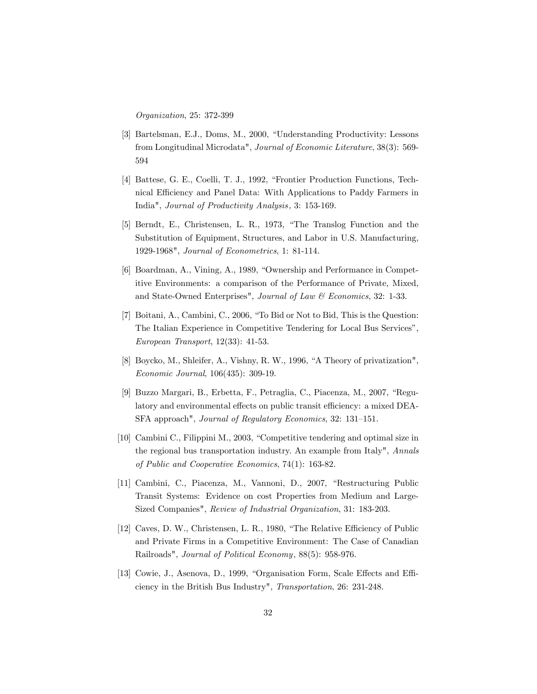Organization, 25: 372-399

- [3] Bartelsman, E.J., Doms, M., 2000, "Understanding Productivity: Lessons from Longitudinal Microdata", Journal of Economic Literature, 38(3): 569- 594
- [4] Battese, G. E., Coelli, T. J., 1992, "Frontier Production Functions, Technical Efficiency and Panel Data: With Applications to Paddy Farmers in India", Journal of Productivity Analysis , 3: 153-169.
- [5] Berndt, E., Christensen, L. R., 1973, "The Translog Function and the Substitution of Equipment, Structures, and Labor in U.S. Manufacturing, 1929-1968", Journal of Econometrics, 1: 81-114.
- [6] Boardman, A., Vining, A., 1989, "Ownership and Performance in Competitive Environments: a comparison of the Performance of Private, Mixed, and State-Owned Enterprises", Journal of Law & Economics, 32: 1-33.
- $[7]$  Boitani, A., Cambini, C., 2006, "To Bid or Not to Bid, This is the Question: The Italian Experience in Competitive Tendering for Local Bus Services", European Transport, 12(33): 41-53.
- [8] Boycko, M., Shleifer, A., Vishny, R. W., 1996, "A Theory of privatization", Economic Journal, 106(435): 309-19.
- [9] Buzzo Margari, B., Erbetta, F., Petraglia, C., Piacenza, M., 2007, "Regulatory and environmental effects on public transit efficiency: a mixed DEA-SFA approach", Journal of Regulatory Economics, 32: 131-151.
- [10] Cambini C., Filippini M., 2003, "Competitive tendering and optimal size in the regional bus transportation industry. An example from Italy", Annals of Public and Cooperative Economics, 74(1): 163-82.
- [11] Cambini, C., Piacenza, M., Vannoni, D., 2007, "Restructuring Public Transit Systems: Evidence on cost Properties from Medium and Large-Sized Companies", Review of Industrial Organization, 31: 183-203.
- [12] Caves, D. W., Christensen, L. R., 1980, "The Relative Efficiency of Public and Private Firms in a Competitive Environment: The Case of Canadian Railroads", Journal of Political Economy, 88(5): 958-976.
- [13] Cowie, J., Asenova, D., 1999, "Organisation Form, Scale Effects and Efficiency in the British Bus Industry", Transportation, 26: 231-248.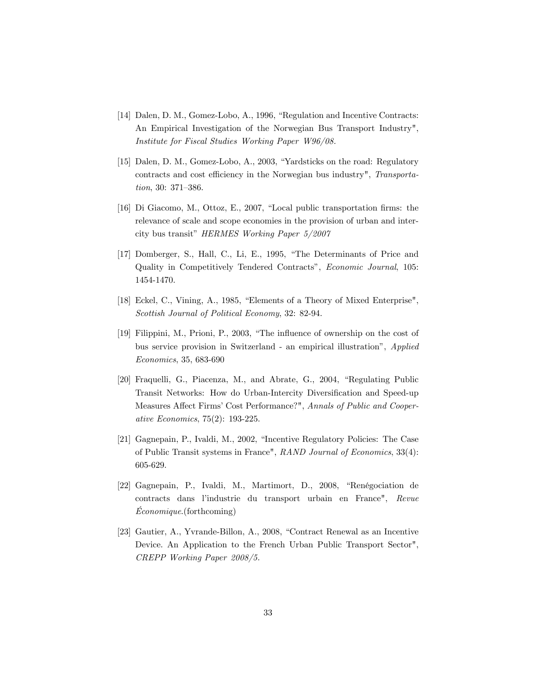- [14] Dalen, D. M., Gomez-Lobo, A., 1996, "Regulation and Incentive Contracts: An Empirical Investigation of the Norwegian Bus Transport Industry", Institute for Fiscal Studies Working Paper W96/08.
- [15] Dalen, D. M., Gomez-Lobo, A., 2003, "Yardsticks on the road: Regulatory contracts and cost efficiency in the Norwegian bus industry", Transportation, 30:  $371 - 386$ .
- [16] Di Giacomo, M., Ottoz, E., 2007, "Local public transportation firms: the relevance of scale and scope economies in the provision of urban and intercity bus transit" HERMES Working Paper  $5/2007$
- [17] Domberger, S., Hall, C., Li, E., 1995, "The Determinants of Price and Quality in Competitively Tendered Contracts", Economic Journal, 105: 1454-1470.
- [18] Eckel, C., Vining, A., 1985, "Elements of a Theory of Mixed Enterprise", Scottish Journal of Political Economy, 32: 82-94.
- [19] Filippini, M., Prioni, P., 2003, "The influence of ownership on the cost of bus service provision in Switzerland - an empirical illustration", Applied Economics, 35, 683-690
- [20] Fraquelli, G., Piacenza, M., and Abrate, G., 2004, "Regulating Public Transit Networks: How do Urban-Intercity Diversification and Speed-up Measures Affect Firms' Cost Performance?", Annals of Public and Cooperative Economics, 75(2): 193-225.
- [21] Gagnepain, P., Ivaldi, M., 2002, "Incentive Regulatory Policies: The Case of Public Transit systems in France", RAND Journal of Economics, 33(4): 605-629.
- [22] Gagnepain, P., Ivaldi, M., Martimort, D., 2008, "Renégociation de contracts dans líindustrie du transport urbain en France", Revue  $Économique. (for the coming)$
- $[23]$  Gautier, A., Yvrande-Billon, A., 2008, "Contract Renewal as an Incentive Device. An Application to the French Urban Public Transport Sector", CREPP Working Paper 2008/5.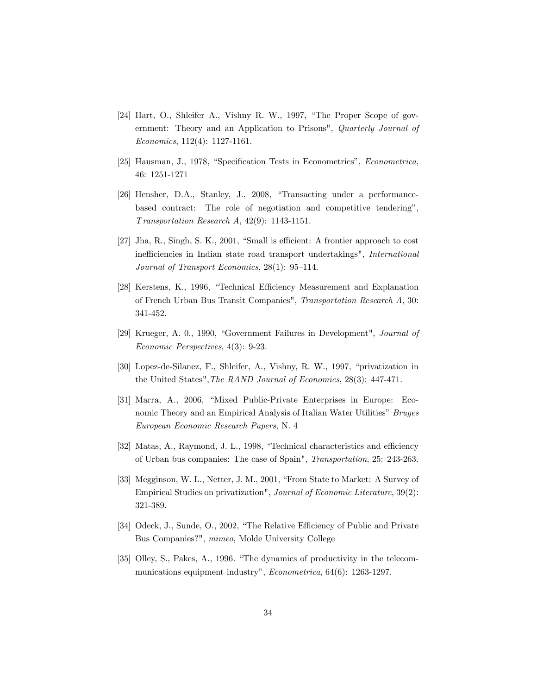- [24] Hart, O., Shleifer A., Vishny R. W., 1997, "The Proper Scope of government: Theory and an Application to Prisons", Quarterly Journal of Economics, 112(4): 1127-1161.
- [25] Hausman, J., 1978, "Specification Tests in Econometrics", *Econometrica*, 46: 1251-1271
- [26] Hensher, D.A., Stanley, J., 2008, "Transacting under a performancebased contract: The role of negotiation and competitive tendering", T ransportation Research A, 42(9): 1143-1151.
- $[27]$  Jha, R., Singh, S. K., 2001, "Small is efficient: A frontier approach to cost inefficiencies in Indian state road transport undertakings", International Journal of Transport Economics,  $28(1)$ : 95-114.
- [28] Kerstens, K., 1996, "Technical Efficiency Measurement and Explanation of French Urban Bus Transit Companies", Transportation Research A, 30: 341-452.
- [29] Krueger, A. 0., 1990, "Government Failures in Development", *Journal of* Economic Perspectives, 4(3): 9-23.
- [30] Lopez-de-Silanez, F., Shleifer, A., Vishny, R. W., 1997, "privatization in the United States",The RAND Journal of Economics, 28(3): 447-471.
- [31] Marra, A., 2006, "Mixed Public-Private Enterprises in Europe: Economic Theory and an Empirical Analysis of Italian Water Utilities" Bruges European Economic Research Papers, N. 4
- [32] Matas, A., Raymond, J. L., 1998, "Technical characteristics and efficiency of Urban bus companies: The case of Spain", Transportation, 25: 243-263.
- [33] Megginson, W. L., Netter, J. M., 2001, "From State to Market: A Survey of Empirical Studies on privatization", Journal of Economic Literature, 39(2): 321-389.
- [34] Odeck, J., Sunde, O., 2002, "The Relative Efficiency of Public and Private Bus Companies?", mimeo, Molde University College
- [35] Olley, S., Pakes, A., 1996. "The dynamics of productivity in the telecommunications equipment industry", *Econometrica*, 64(6): 1263-1297.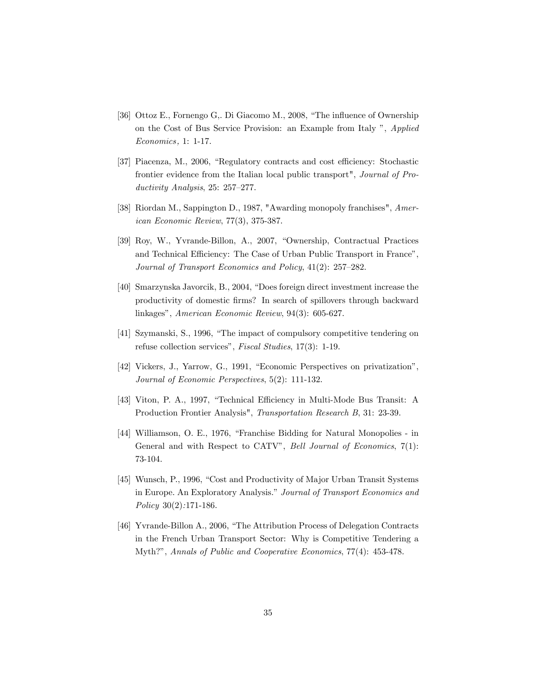- [36] Ottoz E., Fornengo G., Di Giacomo M., 2008, "The influence of Ownership on the Cost of Bus Service Provision: an Example from Italy ", Applied Economics , 1: 1-17.
- [37] Piacenza, M., 2006, "Regulatory contracts and cost efficiency: Stochastic frontier evidence from the Italian local public transport", Journal of Productivity Analysis,  $25: 257-277$ .
- [38] Riordan M., Sappington D., 1987, "Awarding monopoly franchises", American Economic Review, 77(3), 375-387.
- [39] Roy, W., Yvrande-Billon, A., 2007, "Ownership, Contractual Practices and Technical Efficiency: The Case of Urban Public Transport in France", Journal of Transport Economics and Policy,  $41(2)$ : 257–282.
- [40] Smarzynska Javorcik, B., 2004, "Does foreign direct investment increase the productivity of domestic Örms? In search of spillovers through backward linkages", American Economic Review, 94(3): 605-627.
- [41] Szymanski, S., 1996, "The impact of compulsory competitive tendering on refuse collection services", Fiscal Studies, 17(3): 1-19.
- [42] Vickers, J., Yarrow, G., 1991, "Economic Perspectives on privatization", Journal of Economic Perspectives, 5(2): 111-132.
- [43] Viton, P. A., 1997, "Technical Efficiency in Multi-Mode Bus Transit: A Production Frontier Analysis", Transportation Research B, 31: 23-39.
- [44] Williamson, O. E., 1976, "Franchise Bidding for Natural Monopolies in General and with Respect to CATV", Bell Journal of Economics,  $7(1)$ : 73-104.
- [45] Wunsch, P., 1996, "Cost and Productivity of Major Urban Transit Systems in Europe. An Exploratory Analysis." Journal of Transport Economics and Policy 30(2):171-186.
- [46] Yvrande-Billon A., 2006, "The Attribution Process of Delegation Contracts in the French Urban Transport Sector: Why is Competitive Tendering a Myth?", Annals of Public and Cooperative Economics, 77(4): 453-478.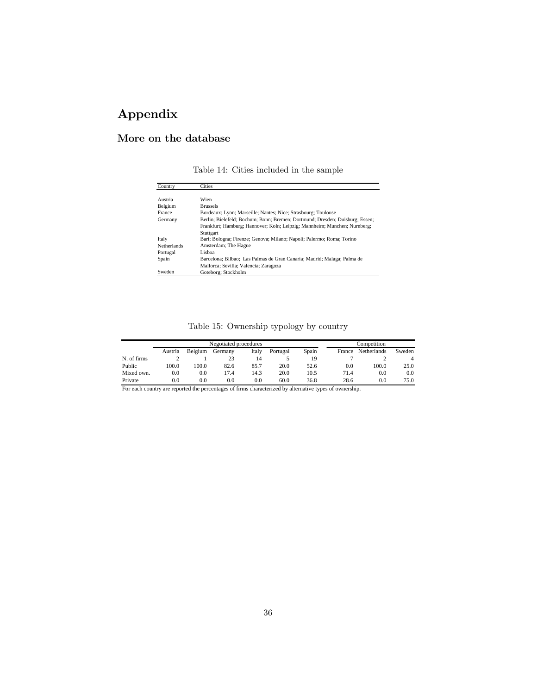# Appendix

# More on the database

Table 14: Cities included in the sample

| Country            | Cities                                                                       |
|--------------------|------------------------------------------------------------------------------|
|                    |                                                                              |
| Austria            | Wien                                                                         |
| Belgium            | <b>Brussels</b>                                                              |
| France             | Bordeaux; Lyon; Marseille; Nantes; Nice; Strasbourg; Toulouse                |
| Germany            | Berlin; Bielefeld; Bochum; Bonn; Bremen; Dortmund; Dresden; Duisburg; Essen; |
|                    | Frankfurt; Hamburg; Hannover; Koln; Leipzig; Mannheim; Munchen; Nurnberg;    |
|                    | Stuttgart                                                                    |
| Italy              | Bari; Bologna; Firenze; Genova; Milano; Napoli; Palermo; Roma; Torino        |
| <b>Netherlands</b> | Amsterdam; The Hague                                                         |
| Portugal           | Lisboa                                                                       |
| Spain              | Barcelona; Bilbao; Las Palmas de Gran Canaria; Madrid; Malaga; Palma de      |
|                    | Mallorca; Sevilla; Valencia; Zaragoza                                        |
| Sweden             | Goteborg: Stockholm                                                          |

## Table 15: Ownership typology by country

|               | Negotiated procedures |               |         |        |             |       |               | Competition |        |
|---------------|-----------------------|---------------|---------|--------|-------------|-------|---------------|-------------|--------|
|               | Austria               | Belgium       | Germany | Italy  | Portugal    | Spain | France        | Netherlands | Sweden |
| N. of firms   |                       |               | 23      | 14     |             | 19    |               |             |        |
| Public        | 100.0                 | 100.0         | 82.6    | 85.7   | 20.0        | 52.6  | 0.0           | 100.0       | 25.0   |
| Mixed own.    | 0.0                   | 0.0           | 17.4    | 14.3   | 20.0        | 10.5  | 71.4          | 0.0         | 0.0    |
| Private       | 0.0                   | 0.0           | 0.0     | 0.0    | 60.0        | 36.8  | 28.6          | 0.0         | 75.0   |
| $\sim$ $\sim$ |                       | $\sim$ $\sim$ | $ -$    | $\sim$ | .<br>$\sim$ |       | $\sim$ $\sim$ |             |        |

For each country are reported the percentages of firms characterized by alternative types of ownership.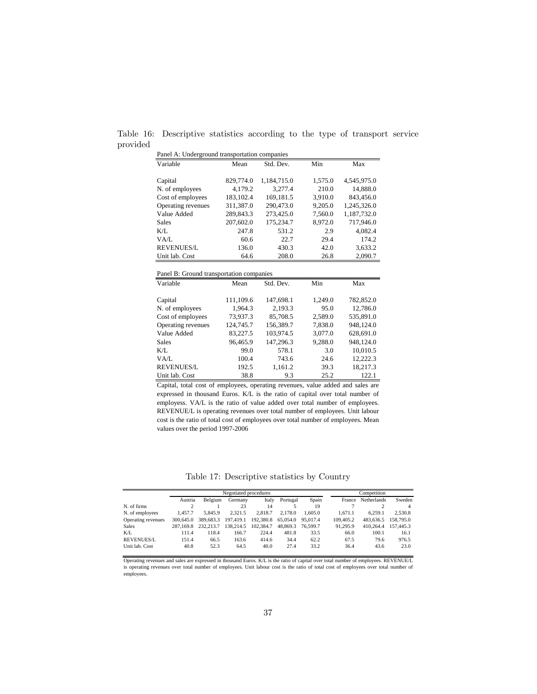Table 16: Descriptive statistics according to the type of transport service provided

| Panel A: Underground transportation companies |           |             |         |             |  |  |  |
|-----------------------------------------------|-----------|-------------|---------|-------------|--|--|--|
| Variable                                      | Mean      | Std. Dev.   | Min     | Max         |  |  |  |
|                                               |           |             |         |             |  |  |  |
| Capital                                       | 829,774.0 | 1,184,715.0 | 1,575.0 | 4,545,975.0 |  |  |  |
| N. of employees                               | 4,179.2   | 3,277.4     | 210.0   | 14,888.0    |  |  |  |
| Cost of employees                             | 183,102.4 | 169,181.5   | 3,910.0 | 843,456.0   |  |  |  |
| Operating revenues                            | 311,387.0 | 290,473.0   | 9,205.0 | 1,245,326.0 |  |  |  |
| Value Added                                   | 289,843.3 | 273,425.0   | 7.560.0 | 1.187.732.0 |  |  |  |
| Sales                                         | 207,602.0 | 175,234.7   | 8,972.0 | 717,946.0   |  |  |  |
| K/L                                           | 247.8     | 531.2       | 2.9     | 4.082.4     |  |  |  |
| VA/L                                          | 60.6      | 22.7        | 29.4    | 174.2       |  |  |  |
| <b>REVENUES/L</b>                             | 136.0     | 430.3       | 42.0    | 3,633.2     |  |  |  |
| Unit lab. Cost                                | 64.6      | 208.0       | 26.8    | 2,090.7     |  |  |  |
|                                               |           |             |         |             |  |  |  |
|                                               |           |             |         |             |  |  |  |
| Panel B: Ground transportation companies      |           |             |         |             |  |  |  |
| Variable                                      | Mean      | Std. Dev.   | Min     | Max         |  |  |  |
| Capital                                       | 111,109.6 | 147,698.1   | 1,249.0 | 782,852.0   |  |  |  |
| N. of employees                               | 1,964.3   | 2,193.3     | 95.0    | 12,786.0    |  |  |  |
| Cost of employees                             | 73,937.3  | 85,708.5    | 2,589.0 | 535,891.0   |  |  |  |
| Operating revenues                            | 124,745.7 | 156,389.7   | 7.838.0 | 948,124.0   |  |  |  |
| Value Added                                   | 83,227.5  | 103,974.5   | 3,077.0 | 628,691.0   |  |  |  |
| Sales                                         | 96,465.9  | 147,296.3   | 9,288.0 | 948.124.0   |  |  |  |
| $K/I$ .                                       | 99.0      | 578.1       | 3.0     | 10,010.5    |  |  |  |
| VA/L                                          | 100.4     | 743.6       | 24.6    | 12,222.3    |  |  |  |
| <b>REVENUES/L</b>                             | 192.5     | 1,161.2     | 39.3    | 18,217.3    |  |  |  |

Capital, total cost of employees, operating revenues, value added and sales are expressed in thousand Euros. K/L is the ratio of capital over total number of employess. VA/L is the ratio of value added over total number of employees. REVENUE/L is operating revenues over total number of employees. Unit labour cost is the ratio of total cost of employees over total number of employees. Mean values over the period 1997-2006

Table 17: Descriptive statistics by Country

|                    |           |           | Negotiated procedures | Competition |          |          |           |                    |           |
|--------------------|-----------|-----------|-----------------------|-------------|----------|----------|-----------|--------------------|-----------|
|                    | Austria   | Belgium   | Germany               | Italy       | Portugal | Spain    | France    | <b>Netherlands</b> | Sweden    |
| N. of firms        |           |           | 23                    | 14          |          | 19       |           |                    |           |
| N. of employees    | 1.457.7   | 5.845.9   | 2.321.5               | 2.818.7     | 2.178.0  | 1.605.0  | 1.671.1   | 6.259.1            | 2.530.8   |
| Operating revenues | 300,645.0 | 389,683.3 | 197,419.1             | 192,380.8   | 65.054.0 | 95,017.4 | 109.405.2 | 483,636.5          | 158,795.0 |
| Sales              | 287,169.8 | 232,213.7 | 138.214.5             | 102.384.7   | 48.869.3 | 76,599.7 | 91.295.9  | 410.264.4          | 157,445.3 |
| K/L                | 111.4     | 118.4     | 166.7                 | 224.4       | 481.8    | 33.5     | 66.0      | 100.1              | 16.1      |
| <b>REVENUES/L</b>  | 151.4     | 66.5      | 163.6                 | 414.6       | 34.4     | 62.2     | 67.5      | 79.6               | 976.5     |
| Unit lab. Cost     | 40.8      | 52.3      | 64.5                  | 40.0        | 27.4     | 33.2     | 36.4      | 43.6               | 23.0      |

Operating revenues and sales are expressed in thousand Euros. K/L is the ratio of capital over total number of employees. REVENUE/L<br>is operating revenues over total number of employees. Unit labour cost is the ratio of tot employees.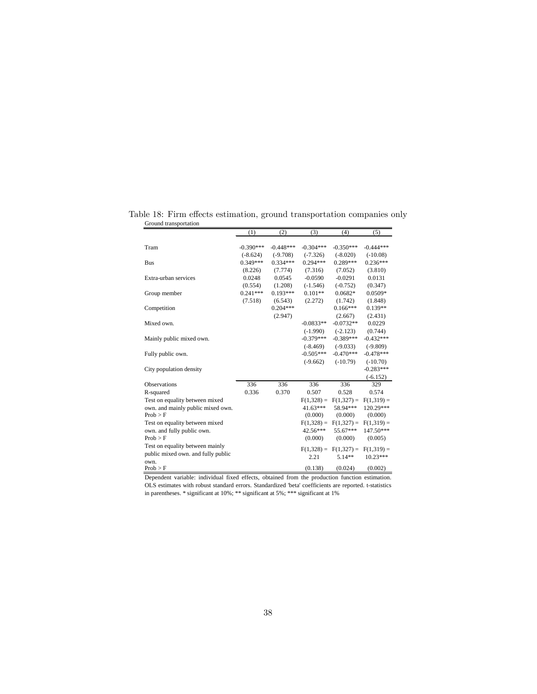| n oana u ansportation              | (1)         | (2)         | (3)          | (4)                     | (5)                     |
|------------------------------------|-------------|-------------|--------------|-------------------------|-------------------------|
|                                    |             |             |              |                         |                         |
| Tram                               | $-0.390***$ | $-0.448***$ | $-0.304***$  | $-0.350***$             | $-0.444***$             |
|                                    | $(-8.624)$  | $(-9.708)$  | $(-7.326)$   | $(-8.020)$              | $(-10.08)$              |
| <b>Bus</b>                         | $0.349***$  | $0.334***$  | $0.294***$   | 0.289***                | $0.236***$              |
|                                    | (8.226)     | (7.774)     | (7.316)      | (7.052)                 | (3.810)                 |
| Extra-urban services               | 0.0248      | 0.0545      | $-0.0590$    | $-0.0291$               | 0.0131                  |
|                                    | (0.554)     | (1.208)     | $(-1.546)$   | $(-0.752)$              | (0.347)                 |
| Group member                       | $0.241***$  | $0.193***$  | $0.101**$    | $0.0682*$               | $0.0509*$               |
|                                    | (7.518)     | (6.543)     | (2.272)      | (1.742)                 | (1.848)                 |
| Competition                        |             | $0.204***$  |              | $0.166***$              | $0.139**$               |
|                                    |             | (2.947)     |              | (2.667)                 | (2.431)                 |
| Mixed own.                         |             |             | $-0.0833**$  | $-0.0732**$             | 0.0229                  |
|                                    |             |             | $(-1.990)$   | $(-2.123)$              | (0.744)                 |
| Mainly public mixed own.           |             |             | $-0.379***$  | $-0.389***$             | $-0.432***$             |
|                                    |             |             | $(-8.469)$   | $(-9.033)$              | $(-9.809)$              |
| Fully public own.                  |             |             | $-0.505***$  | $-0.470***$             | $-0.478***$             |
|                                    |             |             | $(-9.662)$   | $(-10.79)$              | $(-10.70)$              |
| City population density            |             |             |              |                         | $-0.283***$             |
|                                    |             |             |              |                         | $(-6.152)$              |
| Observations                       | 336         | 336         | 336          | 336                     | 329                     |
| R-squared                          | 0.336       | 0.370       | 0.507        | 0.528                   | 0.574                   |
| Test on equality between mixed     |             |             | $F(1,328) =$ | $F(1,327) =$            | $F(1,319) =$            |
| own, and mainly public mixed own.  |             |             | $41.63***$   | 58.94***                | 120.29***               |
| Prob > F                           |             |             | (0.000)      | (0.000)                 | (0.000)                 |
| Test on equality between mixed     |             |             | $F(1,328) =$ |                         | $F(1,327) = F(1,319) =$ |
| own. and fully public own.         |             |             | 42.56***     | 55.67***                | $147.50***$             |
| Prob > F                           |             |             | (0.000)      | (0.000)                 | (0.005)                 |
| Test on equality between mainly    |             |             | $F(1,328) =$ | $F(1,327) = F(1,319) =$ |                         |
| public mixed own, and fully public |             |             | 2.21         | $5.14**$                | $10.23***$              |
| own.                               |             |             |              |                         |                         |
| Prob > F                           |             |             | (0.138)      | (0.024)                 | (0.002)                 |

Table 18: Firm effects estimation, ground transportation companies only Ground transportation

Dependent variable: individual fixed effects, obtained from the production function estimation. OLS estimates with robust standard errors. Standardized 'beta' coefficients are reported. t-statistics in parentheses. \* significant at 10%; \*\* significant at 5%; \*\*\* significant at 1%